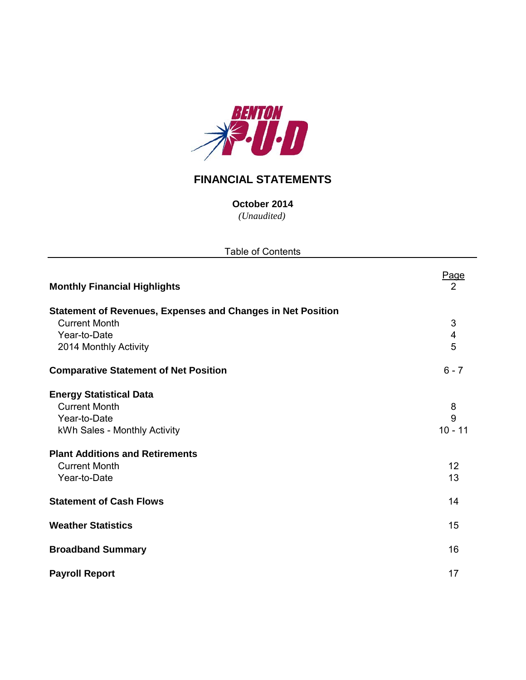

## **FINANCIAL STATEMENTS**

*(Unaudited)* **October 2014**

| <b>Table of Contents</b>                                           |                         |  |  |  |  |  |  |
|--------------------------------------------------------------------|-------------------------|--|--|--|--|--|--|
| <b>Monthly Financial Highlights</b>                                | Page<br>2               |  |  |  |  |  |  |
| <b>Statement of Revenues, Expenses and Changes in Net Position</b> |                         |  |  |  |  |  |  |
| <b>Current Month</b>                                               | 3                       |  |  |  |  |  |  |
| Year-to-Date                                                       | $\overline{\mathbf{4}}$ |  |  |  |  |  |  |
| 2014 Monthly Activity                                              | 5                       |  |  |  |  |  |  |
| <b>Comparative Statement of Net Position</b>                       | $6 - 7$                 |  |  |  |  |  |  |
| <b>Energy Statistical Data</b>                                     |                         |  |  |  |  |  |  |
| <b>Current Month</b>                                               | 8                       |  |  |  |  |  |  |
| Year-to-Date                                                       | 9                       |  |  |  |  |  |  |
| kWh Sales - Monthly Activity                                       | $10 - 11$               |  |  |  |  |  |  |
| <b>Plant Additions and Retirements</b>                             |                         |  |  |  |  |  |  |
| <b>Current Month</b>                                               | 12                      |  |  |  |  |  |  |
| Year-to-Date                                                       | 13                      |  |  |  |  |  |  |
| <b>Statement of Cash Flows</b>                                     | 14                      |  |  |  |  |  |  |
| <b>Weather Statistics</b>                                          | 15                      |  |  |  |  |  |  |
| <b>Broadband Summary</b>                                           | 16                      |  |  |  |  |  |  |
| <b>Payroll Report</b>                                              | 17                      |  |  |  |  |  |  |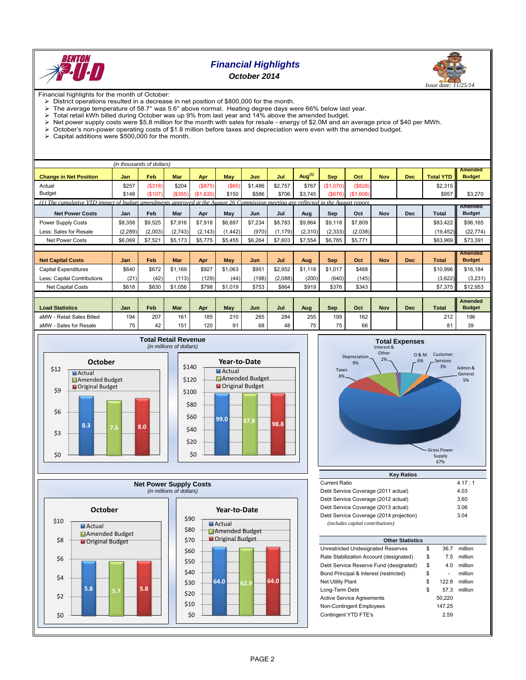

## *Financial Highlights October 2014*



Financial highlights for the month of October:

- 
- $\triangleright$  District operations resulted in a decrease in net position of \$800,000 for the month.<br> $\triangleright$  The average temperature of 58.7° was 5.6° above normal. Heating degree days w The average temperature of 58.7° was 5.6° above normal. Heating degree days were 66% below last year.<br>
Total retail kWh billed during October was up 9% from last year and 14% above the amended budget.

 $\triangleright$  Total retail kWh billed during October was up 9% from last year and 14% above the amended budget.<br> $\triangleright$  Net power supply costs were \$5.8 million for the month with sales for resale - energy of \$2.0M and an

- Net power supply costs were \$5.8 million for the month with sales for resale energy of \$2.0M and an average price of \$40 per MWh.<br>  $\geq 0$  October's non-power operating costs of \$1.8 million before taxes and depreciatio
- October's non-power operating costs of \$1.8 million before taxes and depreciation were even with the amended budget.
- Capital additions were \$500,000 for the month.

|                                                                                                                                    | (in thousands of dollars) |            |         |           |            |         |          |           |            |          |            |            |                  |                                 |
|------------------------------------------------------------------------------------------------------------------------------------|---------------------------|------------|---------|-----------|------------|---------|----------|-----------|------------|----------|------------|------------|------------------|---------------------------------|
| <b>Change in Net Position</b>                                                                                                      | Jan                       | Feb        | Mar     | Apr       | <b>May</b> | Jun     | Jul      | Aug $(1)$ | <b>Sep</b> | Oct      | <b>Nov</b> | <b>Dec</b> | <b>Total YTD</b> | <b>Amended</b><br><b>Budget</b> |
| Actual                                                                                                                             | \$257                     | (\$318)    | \$204   | (\$875)   | $($ \$65)  | \$1,486 | \$2,757  | \$767     | (\$1.070)  | (\$828)  |            |            | \$2,315          |                                 |
| <b>Budget</b>                                                                                                                      | \$148                     | $($ \$107) | (\$355) | (\$1,635) | \$150      | \$586   | \$706    | \$3,745   | (S676)     | (S1.606) |            |            | \$957            | \$3,270                         |
| (1) The cumulative YTD impact of budget amendments approved at the August 26 Commission meeting are reflected in the August report |                           |            |         |           |            |         |          |           |            |          |            |            |                  |                                 |
| <b>Net Power Costs</b>                                                                                                             | Jan                       | Feb        | Mar     | Apr       | May        | Jun     | Jul      | Aug       | Sep        | Oct      | <b>Nov</b> | <b>Dec</b> | Total            | <b>Amended</b><br><b>Budget</b> |
| Power Supply Costs                                                                                                                 | \$8,358                   | \$9,525    | \$7,916 | \$7,918   | \$6,897    | \$7,234 | \$8,783  | \$9,864   | \$9,118    | \$7,809  |            |            | \$83,422         | \$96,165                        |
| Less: Sales for Resale                                                                                                             | (2, 289)                  | (2,003)    | (2,743) | (2, 143)  | (1, 442)   | (970)   | (1, 179) | (2,310)   | (2, 333)   | (2,038)  |            |            | (19, 452)        | (22, 774)                       |
| <b>Net Power Costs</b>                                                                                                             | \$6,069                   | \$7,521    | \$5,173 | \$5,775   | \$5,455    | \$6,264 | \$7,603  | \$7,554   | \$6,785    | \$5,771  |            |            | \$63,969         | \$73,391                        |
|                                                                                                                                    |                           |            |         |           |            |         |          |           |            |          |            |            |                  |                                 |
| <b>Net Capital Costs</b>                                                                                                           | Jan                       | Feb        | Mar     | Apr       | <b>May</b> | Jun     | Jul      | Aug       | <b>Sep</b> | Oct      | <b>Nov</b> | <b>Dec</b> | <b>Total</b>     | <b>Amended</b><br><b>Budget</b> |
| <b>Capital Expenditures</b>                                                                                                        | \$640                     | \$672      | \$1.169 | \$927     | \$1,063    | \$951   | \$2,952  | \$1,118   | \$1,017    | \$488    |            |            | \$10,996         | \$16,184                        |
| Less: Capital Contributions                                                                                                        | (21)                      | (42)       | (113)   | (129)     | (44)       | (198)   | (2,088)  | (200)     | (640)      | (145)    |            |            | (3,622)          | (3,231)                         |
| <b>Net Capital Costs</b>                                                                                                           | \$618                     | \$630      | \$1,056 | \$798     | \$1,019    | \$753   | \$864    | \$919     | \$376      | \$343    |            |            | \$7,375          | \$12,953                        |
|                                                                                                                                    |                           |            |         |           |            |         |          |           |            |          |            |            |                  |                                 |
| <b>Load Statistics</b>                                                                                                             | Jan                       | Feb        | Mar     | Apr       | <b>May</b> | Jun     | Jul      | Aug       | <b>Sep</b> | Oct      | <b>Nov</b> | <b>Dec</b> | <b>Total</b>     | <b>Amended</b><br><b>Budget</b> |
| - Retail Sales Billed<br>aMW                                                                                                       | 194                       | 207        | 161     | 185       | 210        | 265     | 284      | 255       | 199        | 162      |            |            | 212              | 196                             |
| aMW - Sales for Resale                                                                                                             | 75                        | 42         | 151     | 120       | 91         | 68      | 48       | 75        | 75         | 66       |            |            | 81               | 39                              |









| <b>Current Ratio</b>                    | 4.17:1 |
|-----------------------------------------|--------|
| Debt Service Coverage (2011 actual)     | 4.03   |
| Debt Service Coverage (2012 actual)     | 3.60   |
| Debt Service Coverage (2013 actual)     | 3.06   |
| Debt Service Coverage (2014 projection) | 3.04   |
| (includes capital contributions)        |        |

| <b>Other Statistics</b>                 |    |        |         |  |  |  |  |  |  |  |
|-----------------------------------------|----|--------|---------|--|--|--|--|--|--|--|
| Unrestricted Undesignated Reserves      | \$ | 36.7   | million |  |  |  |  |  |  |  |
| Rate Stabilization Account (designated) | \$ | 7.5    | million |  |  |  |  |  |  |  |
| Debt Service Reserve Fund (designated)  | \$ | 4.0    | million |  |  |  |  |  |  |  |
| Bond Principal & Interest (restricted)  | \$ | ۰      | million |  |  |  |  |  |  |  |
| <b>Net Utility Plant</b>                | \$ | 122.8  | million |  |  |  |  |  |  |  |
| Long-Term Debt                          | \$ | 57.3   | million |  |  |  |  |  |  |  |
| <b>Active Service Agreements</b>        |    | 50.220 |         |  |  |  |  |  |  |  |
| Non-Contingent Employees                |    | 147.25 |         |  |  |  |  |  |  |  |
| Contingent YTD FTE's                    |    | 2.59   |         |  |  |  |  |  |  |  |
|                                         |    |        |         |  |  |  |  |  |  |  |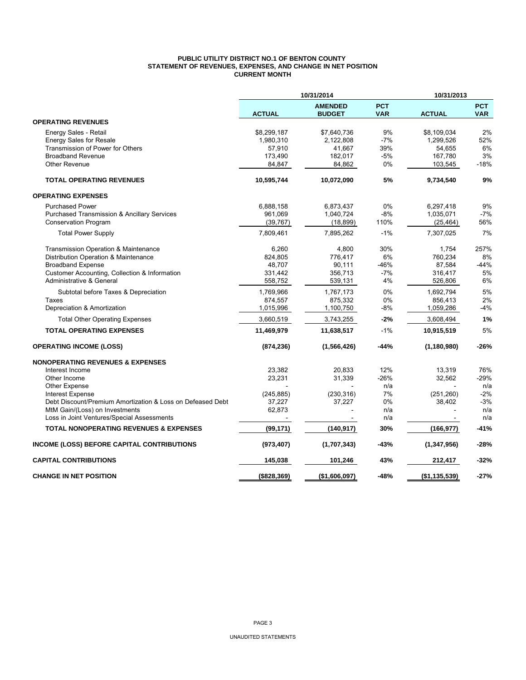#### **PUBLIC UTILITY DISTRICT NO.1 OF BENTON COUNTY STATEMENT OF REVENUES, EXPENSES, AND CHANGE IN NET POSITION CURRENT MONTH**

|                                                                              | 10/31/2014<br>10/31/2013 |                                 |                          |               |                          |
|------------------------------------------------------------------------------|--------------------------|---------------------------------|--------------------------|---------------|--------------------------|
|                                                                              | <b>ACTUAL</b>            | <b>AMENDED</b><br><b>BUDGET</b> | <b>PCT</b><br><b>VAR</b> | <b>ACTUAL</b> | <b>PCT</b><br><b>VAR</b> |
| <b>OPERATING REVENUES</b>                                                    |                          |                                 |                          |               |                          |
| Energy Sales - Retail                                                        | \$8,299,187              | \$7,640,736                     | 9%                       | \$8,109,034   | 2%                       |
| <b>Energy Sales for Resale</b>                                               | 1,980,310                | 2,122,808                       | $-7%$                    | 1,299,526     | 52%                      |
| Transmission of Power for Others                                             | 57,910                   | 41,667                          | 39%                      | 54,655        | 6%                       |
| <b>Broadband Revenue</b>                                                     | 173,490                  | 182,017                         | $-5%$                    | 167,780       | 3%                       |
| <b>Other Revenue</b>                                                         | 84,847                   | 84,862                          | 0%                       | 103,545       | $-18%$                   |
| <b>TOTAL OPERATING REVENUES</b>                                              | 10,595,744               | 10,072,090                      | 5%                       | 9,734,540     | 9%                       |
| <b>OPERATING EXPENSES</b>                                                    |                          |                                 |                          |               |                          |
| <b>Purchased Power</b>                                                       | 6,888,158                | 6,873,437                       | 0%                       | 6,297,418     | 9%                       |
| <b>Purchased Transmission &amp; Ancillary Services</b>                       | 961,069                  | 1,040,724                       | $-8%$                    | 1,035,071     | $-7%$                    |
| <b>Conservation Program</b>                                                  | (39, 767)                | (18, 899)                       | 110%                     | (25, 464)     | 56%                      |
| <b>Total Power Supply</b>                                                    | 7,809,461                | 7,895,262                       | $-1%$                    | 7,307,025     | 7%                       |
| Transmission Operation & Maintenance                                         | 6,260                    | 4,800                           | 30%                      | 1,754         | 257%                     |
| Distribution Operation & Maintenance                                         | 824,805                  | 776,417                         | 6%                       | 760,234       | 8%                       |
| <b>Broadband Expense</b>                                                     | 48.707                   | 90,111                          | $-46%$                   | 87,584        | $-44%$                   |
| Customer Accounting, Collection & Information                                | 331,442                  | 356,713                         | $-7%$                    | 316,417       | 5%                       |
| Administrative & General                                                     | 558,752                  | 539,131                         | 4%                       | 526,806       | 6%                       |
| Subtotal before Taxes & Depreciation                                         | 1,769,966                | 1,767,173                       | 0%                       | 1,692,794     | 5%                       |
| Taxes                                                                        | 874,557                  | 875,332                         | 0%                       | 856,413       | 2%                       |
| Depreciation & Amortization                                                  | 1,015,996                | 1,100,750                       | $-8%$                    | 1,059,286     | $-4%$                    |
| <b>Total Other Operating Expenses</b>                                        | 3,660,519                | 3,743,255                       | $-2%$                    | 3,608,494     | 1%                       |
| <b>TOTAL OPERATING EXPENSES</b>                                              | 11,469,979               | 11,638,517                      | $-1%$                    | 10,915,519    | 5%                       |
| <b>OPERATING INCOME (LOSS)</b>                                               | (874, 236)               | (1,566,426)                     | -44%                     | (1, 180, 980) | $-26%$                   |
| <b>NONOPERATING REVENUES &amp; EXPENSES</b>                                  |                          |                                 |                          |               |                          |
| Interest Income                                                              | 23,382                   | 20.833                          | 12%                      | 13,319        | 76%                      |
| Other Income                                                                 | 23,231                   | 31,339                          | $-26%$                   | 32,562        | $-29%$                   |
| Other Expense                                                                |                          |                                 | n/a                      |               | n/a                      |
| <b>Interest Expense</b>                                                      | (245, 885)               | (230, 316)                      | 7%                       | (251, 260)    | $-2%$                    |
| Debt Discount/Premium Amortization & Loss on Defeased Debt                   | 37,227                   | 37,227                          | 0%                       | 38,402        | $-3%$                    |
| MtM Gain/(Loss) on Investments<br>Loss in Joint Ventures/Special Assessments | 62,873                   |                                 | n/a<br>n/a               |               | n/a<br>n/a               |
|                                                                              |                          |                                 |                          |               |                          |
| <b>TOTAL NONOPERATING REVENUES &amp; EXPENSES</b>                            | (99, 171)                | (140, 917)                      | 30%                      | (166, 977)    | $-41%$                   |
| INCOME (LOSS) BEFORE CAPITAL CONTRIBUTIONS                                   | (973, 407)               | (1,707,343)                     | -43%                     | (1, 347, 956) | $-28%$                   |
| <b>CAPITAL CONTRIBUTIONS</b>                                                 | 145,038                  | 101,246                         | 43%                      | 212,417       | -32%                     |
| <b>CHANGE IN NET POSITION</b>                                                | ( \$828, 369)            | (\$1,606,097)                   | $-48%$                   | (\$1,135,539) | $-27%$                   |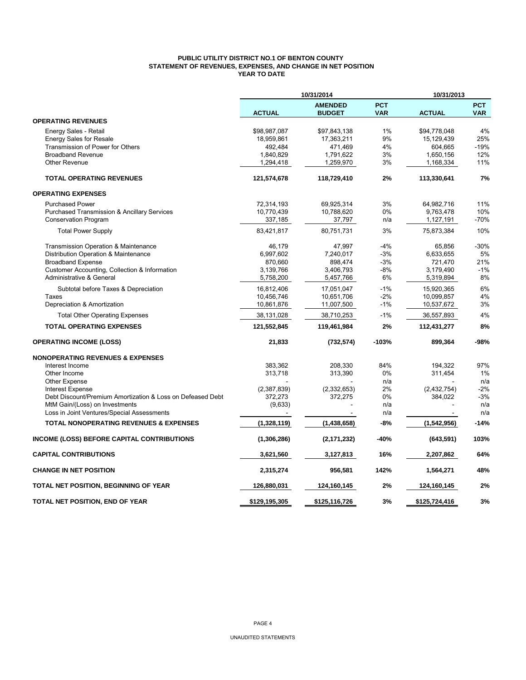### **PUBLIC UTILITY DISTRICT NO.1 OF BENTON COUNTY STATEMENT OF REVENUES, EXPENSES, AND CHANGE IN NET POSITION YEAR TO DATE**

|                                                            | 10/31/2014    |                                 |                          | 10/31/2013    |                          |  |
|------------------------------------------------------------|---------------|---------------------------------|--------------------------|---------------|--------------------------|--|
|                                                            | <b>ACTUAL</b> | <b>AMENDED</b><br><b>BUDGET</b> | <b>PCT</b><br><b>VAR</b> | <b>ACTUAL</b> | <b>PCT</b><br><b>VAR</b> |  |
| <b>OPERATING REVENUES</b>                                  |               |                                 |                          |               |                          |  |
| Energy Sales - Retail                                      | \$98,987,087  | \$97,843,138                    | 1%                       | \$94,778,048  | 4%                       |  |
| <b>Energy Sales for Resale</b>                             | 18,959,861    | 17,363,211                      | 9%                       | 15,129,439    | 25%                      |  |
| Transmission of Power for Others                           | 492,484       | 471,469                         | 4%                       | 604,665       | $-19%$                   |  |
| <b>Broadband Revenue</b>                                   | 1,840,829     | 1,791,622                       | 3%                       | 1,650,156     | 12%                      |  |
| <b>Other Revenue</b>                                       | 1,294,418     | 1,259,970                       | 3%                       | 1,168,334     | 11%                      |  |
| <b>TOTAL OPERATING REVENUES</b>                            | 121,574,678   | 118,729,410                     | 2%                       | 113,330,641   | 7%                       |  |
| <b>OPERATING EXPENSES</b>                                  |               |                                 |                          |               |                          |  |
| <b>Purchased Power</b>                                     | 72,314,193    | 69,925,314                      | 3%                       | 64,982,716    | 11%                      |  |
| Purchased Transmission & Ancillary Services                | 10,770,439    | 10,788,620                      | 0%                       | 9,763,478     | 10%                      |  |
| <b>Conservation Program</b>                                | 337,185       | 37,797                          | n/a                      | 1,127,191     | -70%                     |  |
| <b>Total Power Supply</b>                                  | 83,421,817    | 80,751,731                      | 3%                       | 75,873,384    | 10%                      |  |
| Transmission Operation & Maintenance                       | 46,179        | 47,997                          | $-4%$                    | 65,856        | $-30%$                   |  |
| Distribution Operation & Maintenance                       | 6,997,602     | 7,240,017                       | $-3%$                    | 6,633,655     | 5%                       |  |
| <b>Broadband Expense</b>                                   | 870,660       | 898,474                         | $-3%$                    | 721,470       | 21%                      |  |
| Customer Accounting, Collection & Information              | 3,139,766     | 3,406,793                       | $-8%$                    | 3,179,490     | $-1%$                    |  |
| Administrative & General                                   | 5,758,200     | 5,457,766                       | 6%                       | 5,319,894     | 8%                       |  |
| Subtotal before Taxes & Depreciation                       | 16,812,406    | 17,051,047                      | $-1%$                    | 15,920,365    | 6%                       |  |
| Taxes                                                      | 10,456,746    | 10,651,706                      | $-2%$                    | 10,099,857    | 4%                       |  |
| Depreciation & Amortization                                | 10,861,876    | 11,007,500                      | $-1%$                    | 10,537,672    | 3%                       |  |
| <b>Total Other Operating Expenses</b>                      | 38,131,028    | 38,710,253                      | $-1%$                    | 36,557,893    | 4%                       |  |
| <b>TOTAL OPERATING EXPENSES</b>                            | 121,552,845   | 119,461,984                     | 2%                       | 112,431,277   | 8%                       |  |
| <b>OPERATING INCOME (LOSS)</b>                             | 21,833        | (732, 574)                      | $-103%$                  | 899,364       | -98%                     |  |
| <b>NONOPERATING REVENUES &amp; EXPENSES</b>                |               |                                 |                          |               |                          |  |
| Interest Income                                            | 383,362       | 208,330                         | 84%                      | 194,322       | 97%                      |  |
| Other Income                                               | 313,718       | 313,390                         | 0%                       | 311,454       | 1%                       |  |
| <b>Other Expense</b>                                       |               |                                 | n/a                      |               | n/a                      |  |
| <b>Interest Expense</b>                                    | (2,387,839)   | (2,332,653)                     | 2%                       | (2,432,754)   | $-2%$                    |  |
| Debt Discount/Premium Amortization & Loss on Defeased Debt | 372,273       | 372,275                         | 0%                       | 384,022       | $-3%$                    |  |
| MtM Gain/(Loss) on Investments                             | (9,633)       |                                 | n/a                      |               | n/a                      |  |
| Loss in Joint Ventures/Special Assessments                 |               |                                 | n/a                      |               | n/a                      |  |
| <b>TOTAL NONOPERATING REVENUES &amp; EXPENSES</b>          | (1,328,119)   | (1,438,658)                     | $-8%$                    | (1,542,956)   | $-14%$                   |  |
| <b>INCOME (LOSS) BEFORE CAPITAL CONTRIBUTIONS</b>          | (1,306,286)   | (2, 171, 232)                   | -40%                     | (643, 591)    | 103%                     |  |
| <b>CAPITAL CONTRIBUTIONS</b>                               | 3,621,560     | 3,127,813                       | 16%                      | 2,207,862     | 64%                      |  |
| <b>CHANGE IN NET POSITION</b>                              | 2,315,274     | 956,581                         | 142%                     | 1,564,271     | 48%                      |  |
| TOTAL NET POSITION, BEGINNING OF YEAR                      | 126,880,031   | 124,160,145                     | 2%                       | 124,160,145   | 2%                       |  |
| TOTAL NET POSITION, END OF YEAR                            | \$129,195,305 | \$125,116,726                   | 3%                       | \$125,724,416 | 3%                       |  |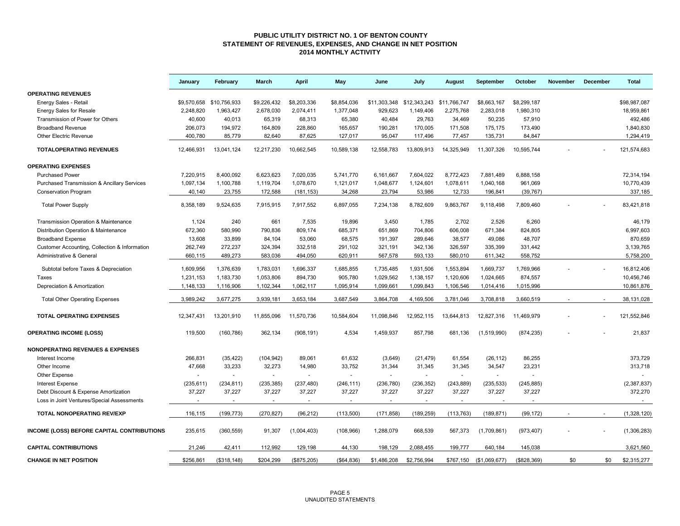#### **PUBLIC UTILITY DISTRICT NO. 1 OF BENTON COUNTY STATEMENT OF REVENUES, EXPENSES, AND CHANGE IN NET POSITION 2014 MONTHLY ACTIVITY**

|                                                        | January     | February                 | <b>March</b> | <b>April</b>             | May                      | June         | July                      | August     | September     | October     | <b>November</b> | December | <b>Total</b>  |
|--------------------------------------------------------|-------------|--------------------------|--------------|--------------------------|--------------------------|--------------|---------------------------|------------|---------------|-------------|-----------------|----------|---------------|
| <b>OPERATING REVENUES</b>                              |             |                          |              |                          |                          |              |                           |            |               |             |                 |          |               |
| Energy Sales - Retail                                  | \$9,570,658 | \$10.756.933             | \$9.226.432  | \$8,203,336              | \$8.854.036              | \$11,303,348 | \$12,343,243 \$11,766,747 |            | \$8.663.167   | \$8,299.187 |                 |          | \$98.987.087  |
| <b>Energy Sales for Resale</b>                         | 2,248,820   | 1,963,427                | 2,678,030    | 2,074,411                | 1,377,048                | 929,623      | 1,149,406                 | 2,275,768  | 2,283,018     | 1,980,310   |                 |          | 18,959,861    |
| Transmission of Power for Others                       | 40,600      | 40,013                   | 65,319       | 68,313                   | 65,380                   | 40,484       | 29,763                    | 34,469     | 50,235        | 57,910      |                 |          | 492,486       |
| <b>Broadband Revenue</b>                               | 206,073     | 194,972                  | 164,809      | 228,860                  | 165,657                  | 190,281      | 170,005                   | 171,508    | 175,175       | 173,490     |                 |          | 1,840,830     |
| <b>Other Electric Revenue</b>                          | 400,780     | 85,779                   | 82,640       | 87,625                   | 127,017                  | 95,047       | 117,496                   | 77,457     | 135,731       | 84,847      |                 |          | 1,294,419     |
| <b>TOTALOPERATING REVENUES</b>                         | 12,466,931  | 13,041,124               | 12,217,230   | 10,662,545               | 10,589,138               | 12,558,783   | 13,809,913                | 14,325,949 | 11,307,326    | 10,595,744  |                 |          | 121,574,683   |
| <b>OPERATING EXPENSES</b>                              |             |                          |              |                          |                          |              |                           |            |               |             |                 |          |               |
| <b>Purchased Power</b>                                 | 7,220,915   | 8,400,092                | 6,623,623    | 7,020,035                | 5,741,770                | 6,161,667    | 7,604,022                 | 8,772,423  | 7,881,489     | 6,888,158   |                 |          | 72,314,194    |
| <b>Purchased Transmission &amp; Ancillary Services</b> | 1,097,134   | 1,100,788                | 1,119,704    | 1,078,670                | 1,121,017                | 1,048,677    | 1,124,601                 | 1,078,611  | 1,040,168     | 961,069     |                 |          | 10,770,439    |
| Conservation Program                                   | 40,140      | 23,755                   | 172,588      | (181, 153)               | 34,268                   | 23,794       | 53,986                    | 12,733     | 196,841       | (39, 767)   |                 |          | 337,185       |
| <b>Total Power Supply</b>                              | 8,358,189   | 9,524,635                | 7,915,915    | 7,917,552                | 6,897,055                | 7,234,138    | 8,782,609                 | 9,863,767  | 9,118,498     | 7,809,460   |                 |          | 83,421,818    |
| Transmission Operation & Maintenance                   | 1,124       | 240                      | 661          | 7,535                    | 19,896                   | 3,450        | 1,785                     | 2,702      | 2,526         | 6,260       |                 |          | 46,179        |
| Distribution Operation & Maintenance                   | 672,360     | 580,990                  | 790,836      | 809,174                  | 685,371                  | 651,869      | 704,806                   | 606,008    | 671,384       | 824,805     |                 |          | 6,997,603     |
| <b>Broadband Expense</b>                               | 13,608      | 33,899                   | 84,104       | 53,060                   | 68,575                   | 191,397      | 289,646                   | 38,577     | 49,086        | 48,707      |                 |          | 870,659       |
| Customer Accounting, Collection & Information          | 262,749     | 272,237                  | 324,394      | 332,518                  | 291,102                  | 321,191      | 342,136                   | 326,597    | 335,399       | 331,442     |                 |          | 3,139,765     |
| Administrative & General                               | 660,115     | 489,273                  | 583,036      | 494,050                  | 620,911                  | 567,578      | 593,133                   | 580,010    | 611,342       | 558,752     |                 |          | 5,758,200     |
|                                                        |             |                          |              |                          |                          |              |                           |            |               |             |                 |          |               |
| Subtotal before Taxes & Depreciation                   | 1,609,956   | 1,376,639                | 1,783,031    | 1,696,337                | 1,685,855                | 1,735,485    | 1,931,506                 | 1,553,894  | 1,669,737     | 1,769,966   |                 |          | 16,812,406    |
| Taxes                                                  | 1,231,153   | 1,183,730                | 1,053,806    | 894,730                  | 905,780                  | 1,029,562    | 1,138,157                 | 1,120,606  | 1,024,665     | 874,557     |                 |          | 10,456,746    |
| Depreciation & Amortization                            | 1,148,133   | 1,116,906                | 1,102,344    | 1,062,117                | 1,095,914                | 1,099,661    | 1,099,843                 | 1,106,546  | 1,014,416     | 1,015,996   |                 |          | 10,861,876    |
| <b>Total Other Operating Expenses</b>                  | 3,989,242   | 3,677,275                | 3,939,181    | 3,653,184                | 3,687,549                | 3,864,708    | 4,169,506                 | 3,781,046  | 3,708,818     | 3,660,519   |                 |          | 38,131,028    |
| <b>TOTAL OPERATING EXPENSES</b>                        | 12,347,431  | 13,201,910               | 11,855,096   | 11,570,736               | 10,584,604               | 11,098,846   | 12,952,115                | 13,644,813 | 12,827,316    | 11,469,979  |                 |          | 121,552,846   |
| <b>OPERATING INCOME (LOSS)</b>                         | 119,500     | (160, 786)               | 362,134      | (908, 191)               | 4,534                    | 1,459,937    | 857,798                   | 681,136    | (1,519,990)   | (874, 235)  |                 |          | 21,837        |
| <b>NONOPERATING REVENUES &amp; EXPENSES</b>            |             |                          |              |                          |                          |              |                           |            |               |             |                 |          |               |
| Interest Income                                        | 266,831     | (35, 422)                | (104, 942)   | 89,061                   | 61,632                   | (3,649)      | (21, 479)                 | 61,554     | (26, 112)     | 86,255      |                 |          | 373,729       |
| Other Income                                           | 47,668      | 33,233                   | 32,273       | 14,980                   | 33,752                   | 31,344       | 31,345                    | 31,345     | 34,547        | 23,231      |                 |          | 313,718       |
| Other Expense                                          |             |                          | $\sim$       | $\blacksquare$           |                          | $\sim$       |                           |            | $\sim$        |             |                 |          |               |
| <b>Interest Expense</b>                                | (235, 611)  | (234, 811)               | (235, 385)   | (237, 480)               | (246, 111)               | (236, 780)   | (236, 352)                | (243, 889) | (235, 533)    | (245, 885)  |                 |          | (2, 387, 837) |
| Debt Discount & Expense Amortization                   | 37,227      | 37,227                   | 37,227       | 37,227                   | 37,227                   | 37,227       | 37,227                    | 37,227     | 37,227        | 37,227      |                 |          | 372,270       |
| Loss in Joint Ventures/Special Assessments             |             | $\overline{\phantom{a}}$ | $\sim$       | $\overline{\phantom{a}}$ | $\overline{\phantom{a}}$ |              | $\overline{\phantom{a}}$  |            |               |             |                 |          |               |
| TOTAL NONOPERATING REV/EXP                             | 116,115     | (199, 773)               | (270, 827)   | (96, 212)                | (113,500)                | (171, 858)   | (189, 259)                | (113, 763) | (189, 871)    | (99, 172)   |                 | $\sim$   | (1,328,120)   |
|                                                        |             |                          |              |                          |                          |              |                           |            |               |             |                 |          |               |
| INCOME (LOSS) BEFORE CAPITAL CONTRIBUTIONS             | 235,615     | (360, 559)               | 91,307       | (1,004,403)              | (108, 966)               | 1,288,079    | 668,539                   | 567,373    | (1,709,861)   | (973, 407)  |                 |          | (1,306,283)   |
| <b>CAPITAL CONTRIBUTIONS</b>                           | 21,246      | 42,411                   | 112,992      | 129,198                  | 44,130                   | 198,129      | 2,088,455                 | 199,777    | 640,184       | 145,038     |                 |          | 3,621,560     |
| <b>CHANGE IN NET POSITION</b>                          | \$256,861   | (\$318, 148)             | \$204,299    | (\$875,205)              | ( \$64, 836)             | \$1,486,208  | \$2,756,994               | \$767.150  | (\$1,069,677) | (\$828,369) | \$0             | \$0      | \$2,315,277   |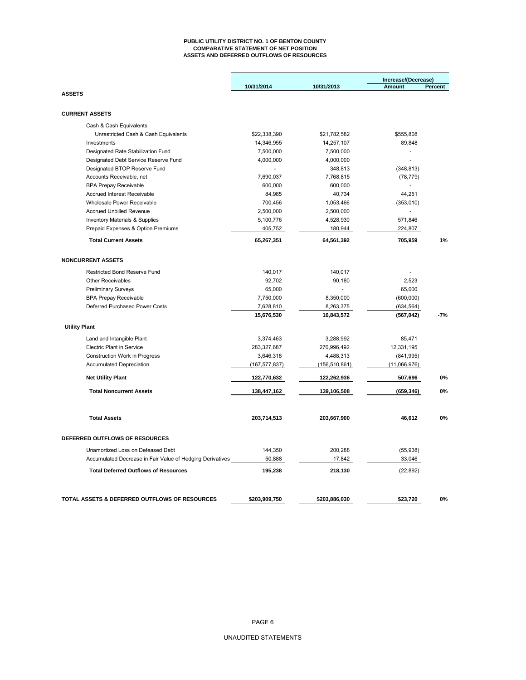#### **PUBLIC UTILITY DISTRICT NO. 1 OF BENTON COUNTY COMPARATIVE STATEMENT OF NET POSITION ASSETS AND DEFERRED OUTFLOWS OF RESOURCES**

|                                                           |                 |                 | Increase/(Decrease) |         |
|-----------------------------------------------------------|-----------------|-----------------|---------------------|---------|
| <b>ASSETS</b>                                             | 10/31/2014      | 10/31/2013      | <b>Amount</b>       | Percent |
|                                                           |                 |                 |                     |         |
| <b>CURRENT ASSETS</b>                                     |                 |                 |                     |         |
| Cash & Cash Equivalents                                   |                 |                 |                     |         |
| Unrestricted Cash & Cash Equivalents                      | \$22,338,390    | \$21,782,582    | \$555,808           |         |
| Investments                                               | 14,346,955      | 14,257,107      | 89,848              |         |
| Designated Rate Stabilization Fund                        | 7,500,000       | 7,500,000       | ÷,                  |         |
| Designated Debt Service Reserve Fund                      | 4,000,000       | 4,000,000       | $\overline{a}$      |         |
| Designated BTOP Reserve Fund                              | $\sim$          | 348,813         | (348, 813)          |         |
| Accounts Receivable, net                                  | 7,690,037       | 7,768,815       | (78, 779)           |         |
| <b>BPA Prepay Receivable</b>                              | 600,000         | 600,000         | ÷                   |         |
| <b>Accrued Interest Receivable</b>                        | 84,985          | 40,734          | 44,251              |         |
| Wholesale Power Receivable                                | 700,456         | 1,053,466       | (353,010)           |         |
| <b>Accrued Unbilled Revenue</b>                           | 2,500,000       | 2,500,000       | $\Box$              |         |
| <b>Inventory Materials &amp; Supplies</b>                 | 5,100,776       | 4,528,930       | 571,846             |         |
| Prepaid Expenses & Option Premiums                        | 405,752         | 180,944         | 224,807             |         |
| <b>Total Current Assets</b>                               | 65,267,351      | 64,561,392      | 705,959             | 1%      |
| <b>NONCURRENT ASSETS</b>                                  |                 |                 |                     |         |
| Restricted Bond Reserve Fund                              | 140,017         | 140,017         |                     |         |
| <b>Other Receivables</b>                                  | 92,702          | 90,180          | 2,523               |         |
| <b>Preliminary Surveys</b>                                | 65,000          |                 | 65,000              |         |
| <b>BPA Prepay Receivable</b>                              | 7,750,000       | 8,350,000       | (600,000)           |         |
| Deferred Purchased Power Costs                            | 7,628,810       | 8,263,375       | (634, 564)          |         |
|                                                           | 15,676,530      | 16,843,572      | (567, 042)          | -7%     |
| <b>Utility Plant</b>                                      |                 |                 |                     |         |
| Land and Intangible Plant                                 | 3,374,463       | 3,288,992       | 85,471              |         |
| <b>Electric Plant in Service</b>                          | 283,327,687     | 270,996,492     | 12,331,195          |         |
| Construction Work in Progress                             | 3,646,318       | 4,488,313       | (841, 995)          |         |
| <b>Accumulated Depreciation</b>                           | (167, 577, 837) | (156, 510, 861) | (11,066,976)        |         |
| <b>Net Utility Plant</b>                                  | 122,770,632     | 122,262,936     | 507,696             | 0%      |
| <b>Total Noncurrent Assets</b>                            | 138,447,162     | 139,106,508     | (659, 346)          | 0%      |
| <b>Total Assets</b>                                       | 203,714,513     | 203,667,900     | 46,612              | 0%      |
| DEFERRED OUTFLOWS OF RESOURCES                            |                 |                 |                     |         |
| Unamortized Loss on Defeased Debt                         | 144,350         | 200,288         | (55, 938)           |         |
| Accumulated Decrease in Fair Value of Hedging Derivatives | 50,888          | 17,842          | 33,046              |         |
| <b>Total Deferred Outflows of Resources</b>               | 195,238         | 218,130         | (22, 892)           |         |
|                                                           |                 |                 |                     |         |
| TOTAL ASSETS & DEFERRED OUTFLOWS OF RESOURCES             | \$203,909,750   | \$203,886,030   | \$23,720            | 0%      |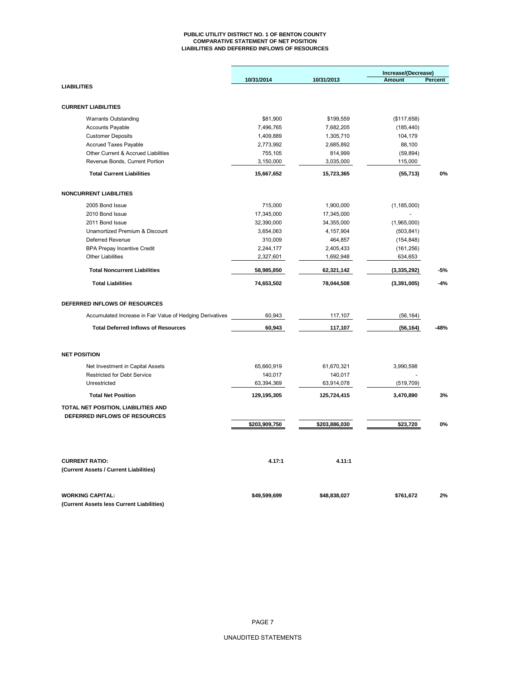#### **PUBLIC UTILITY DISTRICT NO. 1 OF BENTON COUNTY COMPARATIVE STATEMENT OF NET POSITION LIABILITIES AND DEFERRED INFLOWS OF RESOURCES**

|                                                           |               |               | Increase/(Decrease) |         |  |
|-----------------------------------------------------------|---------------|---------------|---------------------|---------|--|
|                                                           | 10/31/2014    | 10/31/2013    | Amount              | Percent |  |
| <b>LIABILITIES</b>                                        |               |               |                     |         |  |
| <b>CURRENT LIABILITIES</b>                                |               |               |                     |         |  |
| <b>Warrants Outstanding</b>                               | \$81,900      | \$199,559     | (\$117,658)         |         |  |
| <b>Accounts Payable</b>                                   | 7,496,765     | 7,682,205     | (185, 440)          |         |  |
| <b>Customer Deposits</b>                                  | 1,409,889     | 1,305,710     | 104,179             |         |  |
| <b>Accrued Taxes Payable</b>                              | 2,773,992     | 2,685,892     | 88,100              |         |  |
| Other Current & Accrued Liabilities                       | 755,105       | 814,999       | (59, 894)           |         |  |
| Revenue Bonds, Current Portion                            | 3,150,000     | 3,035,000     | 115,000             |         |  |
| <b>Total Current Liabilities</b>                          | 15,667,652    | 15,723,365    | (55, 713)           | 0%      |  |
| <b>NONCURRENT LIABILITIES</b>                             |               |               |                     |         |  |
| 2005 Bond Issue                                           | 715,000       | 1,900,000     | (1, 185, 000)       |         |  |
| 2010 Bond Issue                                           | 17,345,000    | 17,345,000    |                     |         |  |
| 2011 Bond Issue                                           | 32,390,000    | 34,355,000    | (1,965,000)         |         |  |
| Unamortized Premium & Discount                            | 3,654,063     | 4,157,904     | (503, 841)          |         |  |
| Deferred Revenue                                          | 310,009       | 464,857       | (154, 848)          |         |  |
| <b>BPA Prepay Incentive Credit</b>                        | 2,244,177     | 2,405,433     | (161, 256)          |         |  |
| <b>Other Liabilities</b>                                  | 2,327,601     | 1,692,948     | 634,653             |         |  |
| <b>Total Noncurrent Liabilities</b>                       | 58,985,850    | 62,321,142    | (3,335,292)         | $-5%$   |  |
| <b>Total Liabilities</b>                                  | 74,653,502    | 78,044,508    | (3,391,005)         | $-4%$   |  |
| DEFERRED INFLOWS OF RESOURCES                             |               |               |                     |         |  |
| Accumulated Increase in Fair Value of Hedging Derivatives | 60,943        | 117,107       | (56, 164)           |         |  |
| <b>Total Deferred Inflows of Resources</b>                | 60,943        | 117,107       | (56, 164)           | $-48%$  |  |
| <b>NET POSITION</b>                                       |               |               |                     |         |  |
| Net Investment in Capital Assets                          | 65,660,919    | 61,670,321    | 3,990,598           |         |  |
| Restricted for Debt Service                               | 140,017       | 140,017       |                     |         |  |
| Unrestricted                                              | 63,394,369    | 63,914,078    | (519, 709)          |         |  |
| <b>Total Net Position</b>                                 | 129,195,305   | 125,724,415   | 3,470,890           | 3%      |  |
| TOTAL NET POSITION, LIABILITIES AND                       |               |               |                     |         |  |
| DEFERRED INFLOWS OF RESOURCES                             |               |               |                     |         |  |
|                                                           | \$203,909,750 | \$203,886,030 | \$23,720            | 0%      |  |
|                                                           |               |               |                     |         |  |
| <b>CURRENT RATIO:</b>                                     | 4.17:1        | 4.11:1        |                     |         |  |
| (Current Assets / Current Liabilities)                    |               |               |                     |         |  |
| <b>WORKING CAPITAL:</b>                                   | \$49,599,699  | \$48,838,027  | \$761,672           | 2%      |  |
| (Current Assets less Current Liabilities)                 |               |               |                     |         |  |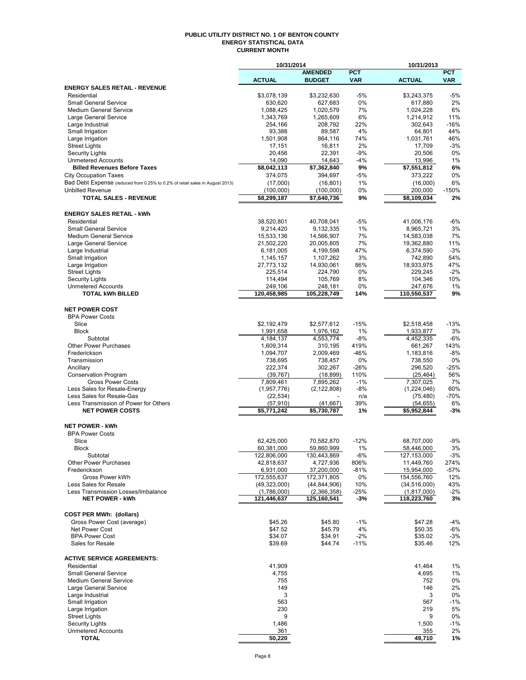#### **PUBLIC UTILITY DISTRICT NO. 1 OF BENTON COUNTY ENERGY STATISTICAL DATA CURRENT MONTH**

|                                                                              | 10/31/2014             |                        |             | 10/31/2013              |             |
|------------------------------------------------------------------------------|------------------------|------------------------|-------------|-------------------------|-------------|
|                                                                              |                        | <b>AMENDED</b>         | <b>PCT</b>  |                         | <b>PCT</b>  |
|                                                                              | <b>ACTUAL</b>          | <b>BUDGET</b>          | <b>VAR</b>  | <b>ACTUAL</b>           | <b>VAR</b>  |
| <b>ENERGY SALES RETAIL - REVENUE</b>                                         |                        |                        |             |                         |             |
| Residential<br><b>Small General Service</b>                                  | \$3,078,139<br>630,620 | \$3,232,630            | $-5%$<br>0% | \$3,243,375             | $-5%$<br>2% |
| <b>Medium General Service</b>                                                | 1,088,425              | 627,683<br>1,020,579   | 7%          | 617,880<br>1,024,228    | 6%          |
| Large General Service                                                        | 1,343,769              | 1,265,609              | 6%          | 1,214,912               | 11%         |
| Large Industrial                                                             | 254,166                | 208,792                | 22%         | 302,643                 | $-16%$      |
| Small Irrigation                                                             | 93,388                 | 89,587                 | 4%          | 64,801                  | 44%         |
| Large Irrigation                                                             | 1,501,908              | 864,116                | 74%         | 1,031,761               | 46%         |
| <b>Street Lights</b>                                                         | 17,151                 | 16,811                 | 2%          | 17,709                  | $-3%$       |
| <b>Security Lights</b>                                                       | 20,456                 | 22,391                 | $-9%$       | 20,506                  | 0%          |
| <b>Unmetered Accounts</b>                                                    | 14,090                 | 14,643                 | $-4%$       | 13,996                  | 1%          |
| <b>Billed Revenues Before Taxes</b>                                          | \$8,042,113            | \$7,362,840            | 9%          | \$7,551,812             | 6%          |
| <b>City Occupation Taxes</b>                                                 | 374,075                | 394,697                | $-5%$       | 373,222                 | 0%          |
| Bad Debt Expense (reduced from 0.25% to 0.2% of retail sales in August 2013) | (17,000)               | (16, 801)              | 1%          | (16,000)                | 6%          |
| <b>Unbilled Revenue</b>                                                      | (100,000)              | (100,000)              | 0%          | 200,000                 | $-150%$     |
| <b>TOTAL SALES - REVENUE</b>                                                 | \$8,299,187            | \$7,640,736            | 9%          | \$8,109,034             | 2%          |
|                                                                              |                        |                        |             |                         |             |
| <b>ENERGY SALES RETAIL - kWh</b>                                             |                        |                        |             |                         |             |
| Residential                                                                  | 38,520,801             | 40,708,041             | $-5%$       | 41,006,176              | $-6%$       |
| <b>Small General Service</b>                                                 | 9,214,420              | 9,132,335              | 1%          |                         | 3%          |
| <b>Medium General Service</b>                                                | 15,533,136             | 14,566,907             | 7%          | 8,965,721<br>14,583,038 | 7%          |
| Large General Service                                                        | 21,502,220             | 20.005.805             | 7%          | 19,362,880              | 11%         |
| Large Industrial                                                             | 6,181,005              | 4,199,598              | 47%         | 6,374,590               | $-3%$       |
| Small Irrigation                                                             |                        | 1,107,262              | 3%          | 742,890                 | 54%         |
|                                                                              | 1,145,157              |                        | 86%         |                         | 47%         |
| Large Irrigation                                                             | 27,773,132<br>225,514  | 14,930,061             | 0%          | 18,933,975              | $-2%$       |
| <b>Street Lights</b>                                                         |                        | 224,790                |             | 229,245                 |             |
| <b>Security Lights</b>                                                       | 114,494                | 105,769                | 8%          | 104,346                 | 10%         |
| <b>Unmetered Accounts</b><br><b>TOTAL kWh BILLED</b>                         | 249,106<br>120,458,985 | 248,181<br>105,228,749 | 0%<br>14%   | 247,676<br>110,550,537  | 1%<br>9%    |
|                                                                              |                        |                        |             |                         |             |
| <b>NET POWER COST</b>                                                        |                        |                        |             |                         |             |
| <b>BPA Power Costs</b>                                                       |                        |                        |             |                         |             |
| Slice                                                                        | \$2,192,479            |                        | $-15%$      |                         | $-13%$      |
|                                                                              |                        | \$2,577,612            |             | \$2,518,458             | 3%          |
| <b>Block</b>                                                                 | 1,991,658              | 1,976,162              | 1%          | 1,933,877               |             |
| Subtotal                                                                     | 4,184,137              | 4,553,774              | $-8%$       | 4,452,335               | $-6%$       |
| <b>Other Power Purchases</b>                                                 | 1,609,314              | 310,195                | 419%        | 661,267                 | 143%        |
| Frederickson                                                                 | 1,094,707              | 2,009,469              | $-46%$      | 1,183,816               | $-8%$       |
| Transmission                                                                 | 738,695                | 738,457                | 0%          | 738,550                 | 0%          |
| Ancillary                                                                    | 222,374                | 302,267                | $-26%$      | 296,520                 | -25%        |
| <b>Conservation Program</b>                                                  | (39, 767)              | (18, 899)              | 110%        | (25, 464)               | 56%         |
| <b>Gross Power Costs</b>                                                     | 7,809,461              | 7,895,262              | $-1%$       | 7,307,025               | 7%          |
| Less Sales for Resale-Energy                                                 | (1,957,776)            | (2, 122, 808)          | $-8%$       | (1,224,046)             | 60%         |
| Less Sales for Resale-Gas                                                    | (22, 534)              |                        | n/a         | (75, 480)               | -70%        |
| Less Transmission of Power for Others                                        | (57, 910)              | (41, 667)              | 39%         | (54, 655)               | 6%          |
| <b>NET POWER COSTS</b>                                                       | \$5,771,242            | \$5,730,787            | 1%          | \$5,952,844             | $-3%$       |
| <b>NET POWER - kWh</b>                                                       |                        |                        |             |                         |             |
|                                                                              |                        |                        |             |                         |             |
| <b>BPA Power Costs</b>                                                       |                        |                        |             |                         |             |
| Slice                                                                        | 62,425,000             | 70,582,870             | $-12%$      | 68,707,000              | $-9%$       |
| <b>Block</b>                                                                 | 60,381,000             | 59,860,999             | 1%          | 58,446,000              | 3%          |
| Subtotal                                                                     | 122,806,000            | 130,443,869            | -6%         | 127,153,000             | $-3%$       |
| <b>Other Power Purchases</b>                                                 | 42,818,637             | 4,727,936              | 806%        | 11,449,760              | 274%        |
| Frederickson                                                                 | 6,931,000              | 37,200,000             | -81%        | 15,954,000              | -57%        |
| Gross Power kWh                                                              | 172,555,637            | 172,371,805            | 0%          | 154,556,760             | 12%         |
| Less Sales for Resale                                                        | (49, 323, 000)         | (44, 844, 906)         | 10%         | (34, 516, 000)          | 43%         |
| Less Transmission Losses/Imbalance                                           | (1,786,000)            | (2,366,358)            | -25%        | (1,817,000)             | $-2%$       |
| <b>NET POWER - kWh</b>                                                       | 121,446,637            | 125,160,541            | -3%         | 118,223,760             | 3%          |
|                                                                              |                        |                        |             |                         |             |
| <b>COST PER MWh: (dollars)</b>                                               |                        |                        |             |                         |             |
| Gross Power Cost (average)                                                   | \$45.26                | \$45.80                | $-1%$       | \$47.28                 | -4%         |
| Net Power Cost                                                               | \$47.52                | \$45.79                | 4%          | \$50.35                 | -6%         |
| <b>BPA Power Cost</b>                                                        | \$34.07                | \$34.91                | $-2%$       | \$35.02                 | $-3%$       |
| Sales for Resale                                                             | \$39.69                | \$44.74                | $-11%$      | \$35.46                 | 12%         |
|                                                                              |                        |                        |             |                         |             |
| <b>ACTIVE SERVICE AGREEMENTS:</b>                                            |                        |                        |             |                         |             |
| Residential                                                                  | 41,909                 |                        |             | 41,464                  | 1%          |
| <b>Small General Service</b>                                                 | 4,755                  |                        |             | 4,695                   | 1%          |
| <b>Medium General Service</b>                                                | 755                    |                        |             | 752                     | 0%          |
| Large General Service                                                        | 149                    |                        |             | 146                     | 2%          |
| Large Industrial                                                             | 3                      |                        |             | 3                       | 0%          |
| Small Irrigation                                                             | 563                    |                        |             | 567                     | $-1%$       |
| Large Irrigation                                                             | 230                    |                        |             | 219                     | 5%          |
| <b>Street Lights</b>                                                         | 9                      |                        |             | 9                       | 0%          |
| <b>Security Lights</b>                                                       | 1,486                  |                        |             | 1,500                   | $-1%$       |
| <b>Unmetered Accounts</b>                                                    | 361                    |                        |             | 355                     | 2%          |
| <b>TOTAL</b>                                                                 | 50,220                 |                        |             | 49,710                  | 1%          |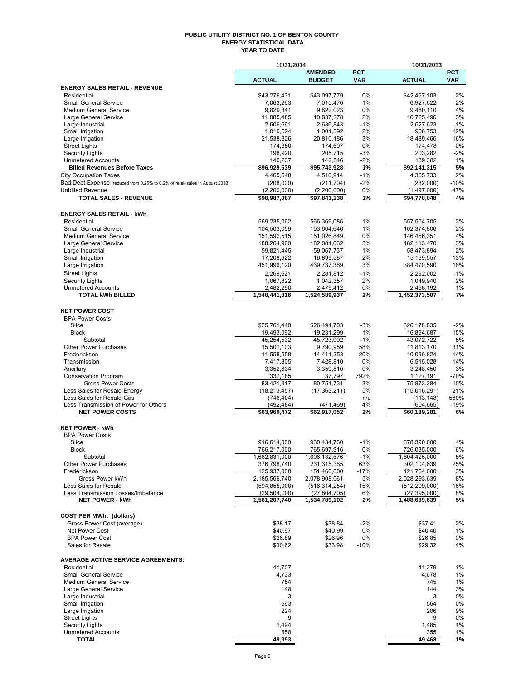#### **PUBLIC UTILITY DISTRICT NO. 1 OF BENTON COUNTY ENERGY STATISTICAL DATA YEAR TO DATE**

|                                                                              | 10/31/2014                   |                              |              | 10/31/2013                   |                |
|------------------------------------------------------------------------------|------------------------------|------------------------------|--------------|------------------------------|----------------|
|                                                                              |                              | <b>AMENDED</b>               | <b>PCT</b>   |                              | <b>PCT</b>     |
|                                                                              | <b>ACTUAL</b>                | <b>BUDGET</b>                | <b>VAR</b>   | <b>ACTUAL</b>                | <b>VAR</b>     |
| <b>ENERGY SALES RETAIL - REVENUE</b>                                         |                              |                              |              |                              |                |
| Residential<br><b>Small General Service</b>                                  | \$43,276,431                 | \$43,097,779                 | 0%<br>1%     | \$42,467,103                 | 2%<br>2%       |
| <b>Medium General Service</b>                                                | 7,063,263<br>9,829,341       | 7,015,470<br>9,822,023       | 0%           | 6,927,622<br>9,480,110       | 4%             |
| Large General Service                                                        | 11,085,485                   | 10,837,278                   | 2%           | 10,725,496                   | 3%             |
| Large Industrial                                                             | 2,606,661                    | 2,636,843                    | $-1%$        | 2,627,623                    | $-1%$          |
| Small Irrigation                                                             | 1,016,524                    | 1,001,392                    | 2%           | 906,753                      | 12%            |
| Large Irrigation                                                             | 21,538,326                   | 20,810,186                   | 3%           | 18,489,466                   | 16%            |
| <b>Street Lights</b>                                                         | 174,350                      | 174,697                      | 0%           | 174,478                      | 0%             |
| <b>Security Lights</b>                                                       | 198,920                      | 205,715                      | -3%          | 203,282                      | $-2%$          |
| <b>Unmetered Accounts</b>                                                    | 140,237                      | 142,546                      | $-2\%$       | 139,382                      | 1%             |
| <b>Billed Revenues Before Taxes</b>                                          | \$96,929,539                 | \$95,743,928                 | 1%           | \$92,141,315                 | 5%             |
| <b>City Occupation Taxes</b>                                                 | 4,465,548                    | 4,510,914                    | $-1%$        | 4,365,733                    | 2%             |
| Bad Debt Expense (reduced from 0.25% to 0.2% of retail sales in August 2013) | (208,000)                    | (211, 704)                   | $-2\%$       | (232,000)                    | $-10%$         |
| <b>Unbilled Revenue</b>                                                      | (2,200,000)                  | (2,200,000)                  | 0%           | (1,497,000)                  | 47%            |
| <b>TOTAL SALES - REVENUE</b>                                                 | \$98,987,087                 | \$97,843,138                 | 1%           | \$94,778,048                 | 4%             |
| <b>ENERGY SALES RETAIL - kWh</b>                                             |                              |                              |              |                              |                |
| Residential                                                                  | 569,235,062                  | 566,369,086                  | 1%           | 557,504,705                  | 2%             |
| <b>Small General Service</b>                                                 | 104,503,059                  | 103,604,646                  | 1%           | 102,374,806                  | 2%             |
| <b>Medium General Service</b>                                                | 151,592,515                  | 151,026,849                  | 0%           | 146,456,351                  | 4%             |
| Large General Service                                                        | 188,264,960                  | 182,081,062                  | 3%           | 182,113,470                  | 3%             |
| Large Industrial                                                             | 59,821,445                   | 59,067,737                   | 1%           | 58,473,894                   | 2%             |
| Small Irrigation                                                             | 17,208,922                   | 16,899,587                   | 2%           | 15,169,557                   | 13%            |
| Large Irrigation                                                             | 451,996,120                  | 439,737,389                  | 3%           | 384,470,590                  | 18%            |
| <b>Street Lights</b>                                                         | 2,269,621                    | 2,281,812                    | $-1%$        | 2.292.002                    | $-1%$          |
| <b>Security Lights</b>                                                       | 1,067,822                    | 1,042,357                    | 2%           | 1,049,940                    | 2%             |
| <b>Unmetered Accounts</b>                                                    | 2,482,290                    | 2,479,412                    | 0%           | 2,468,192                    | 1%             |
| <b>TOTAL kWh BILLED</b>                                                      | 1,548,441,816                | 1,524,589,937                | 2%           | 1,452,373,507                | 7%             |
| <b>NET POWER COST</b>                                                        |                              |                              |              |                              |                |
| <b>BPA Power Costs</b>                                                       |                              |                              |              |                              |                |
| Slice                                                                        | \$25,761,440                 | \$26,491,703                 | $-3%$        | \$26,178,035                 | $-2%$          |
| <b>Block</b>                                                                 | 19,493,092                   | 19,231,299                   | 1%           | 16,894,687                   | 15%            |
| Subtotal                                                                     | 45,254,532                   | 45,723,002                   | $-1%$        | 43,072,722                   | 5%             |
| <b>Other Power Purchases</b>                                                 | 15,501,103                   | 9,790,959                    | 58%          | 11,813,170                   | 31%            |
| Frederickson                                                                 | 11,558,558                   | 14,411,353                   | $-20%$       | 10,096,824                   | 14%            |
| Transmission                                                                 | 7,417,805                    | 7,428,810                    | 0%           | 6,515,028                    | 14%            |
| Ancillary                                                                    | 3,352,634                    | 3,359,810                    | 0%           | 3,248,450                    | 3%             |
| <b>Conservation Program</b>                                                  | 337,185                      | 37,797                       | 792%         | 1,127,191                    | -70%           |
| <b>Gross Power Costs</b>                                                     | 83,421,817                   | 80,751,731                   | 3%           | 75,873,384                   | 10%            |
| Less Sales for Resale-Energy                                                 | (18, 213, 457)               | (17, 363, 211)               | 5%           | (15,016,291)                 | 21%            |
| Less Sales for Resale-Gas<br>Less Transmission of Power for Others           | (746, 404)                   |                              | n/a<br>4%    | (113, 148)                   | 560%<br>$-19%$ |
| <b>NET POWER COSTS</b>                                                       | (492, 484)<br>\$63,969,472   | (471, 469)<br>\$62,917,052   | 2%           | (604, 665)<br>\$60,139,281   | 6%             |
|                                                                              |                              |                              |              |                              |                |
| <b>NET POWER - kWh</b>                                                       |                              |                              |              |                              |                |
| <b>BPA Power Costs</b>                                                       |                              |                              |              |                              |                |
| Slice                                                                        | 916,614,000                  | 930,434,760                  | $-1%$        | 878,390,000                  | 4%             |
| <b>Block</b>                                                                 | 766,217,000                  | 765,697,916                  | 0%           | 726,035,000                  | 6%             |
| Subtotal<br><b>Other Power Purchases</b>                                     | 1,682,831,000<br>376,798,740 | 1,696,132,676<br>231,315,385 | $-1%$<br>63% | 1,604,425,000<br>302,104,639 | 5%<br>25%      |
| Frederickson                                                                 | 125,937,000                  | 151,460,000                  | $-17%$       | 121,764,000                  | 3%             |
| Gross Power kWh                                                              | 2,185,566,740                | 2,078,908,061                | 5%           | 2,028,293,639                | 8%             |
| Less Sales for Resale                                                        | (594, 855, 000)              | (516, 314, 254)              | 15%          | (512, 209, 000)              | 16%            |
| Less Transmission Losses/Imbalance                                           | (29, 504, 000)               | (27, 804, 705)               | 6%           | (27, 395, 000)               | 8%             |
| <b>NET POWER - kWh</b>                                                       | 1,561,207,740                | 1,534,789,102                | 2%           | 1,488,689,639                | 5%             |
| <b>COST PER MWh: (dollars)</b>                                               |                              |                              |              |                              |                |
| Gross Power Cost (average)                                                   | \$38.17                      | \$38.84                      | $-2%$        | \$37.41                      | 2%             |
| Net Power Cost                                                               | \$40.97                      | \$40.99                      | 0%           | \$40.40                      | 1%             |
| <b>BPA Power Cost</b>                                                        | \$26.89                      | \$26.96                      | 0%           | \$26.85                      | 0%             |
| Sales for Resale                                                             | \$30.62                      | \$33.98                      | $-10%$       | \$29.32                      | 4%             |
| <b>AVERAGE ACTIVE SERVICE AGREEMENTS:</b>                                    |                              |                              |              |                              |                |
| Residential                                                                  | 41,707                       |                              |              | 41,279                       | 1%             |
| <b>Small General Service</b>                                                 | 4,733                        |                              |              | 4,678                        | 1%             |
| <b>Medium General Service</b>                                                | 754                          |                              |              | 745                          | 1%             |
| Large General Service                                                        | 148                          |                              |              | 144                          | 3%             |
| Large Industrial                                                             | 3                            |                              |              | 3                            | 0%             |
| Small Irrigation                                                             | 563                          |                              |              | 564                          | 0%             |
| Large Irrigation                                                             | 224                          |                              |              | 206                          | 9%             |
| <b>Street Lights</b>                                                         | 9                            |                              |              | 9                            | 0%             |
| <b>Security Lights</b>                                                       | 1,494                        |                              |              | 1,485                        | 1%             |
| <b>Unmetered Accounts</b>                                                    | 358                          |                              |              | 355                          | 1%             |
| <b>TOTAL</b>                                                                 | 49,993                       |                              |              | 49,468                       | 1%             |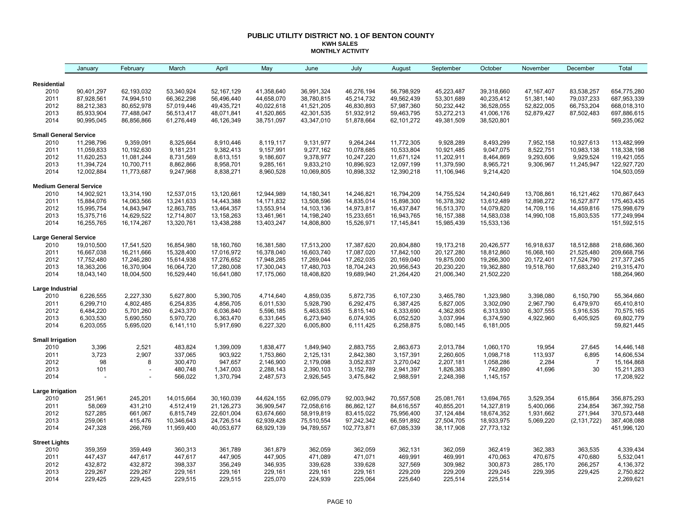#### **PUBLIC UTILITY DISTRICT NO. 1 OF BENTON COUNTY KWH SALES MONTHLY ACTIVITY**

|                              | January                       | February   | March      | April      | May          | June       | July        | August       | September    | October    | November     | December       | Total         |
|------------------------------|-------------------------------|------------|------------|------------|--------------|------------|-------------|--------------|--------------|------------|--------------|----------------|---------------|
| Residential                  |                               |            |            |            |              |            |             |              |              |            |              |                |               |
| 2010                         | 90,401,297                    | 62,193,032 | 53,340,924 | 52,167,129 | 41,358,640   | 36,991,324 | 46,276,194  | 56,798,929   | 45,223,487   | 39,318,660 | 47, 167, 407 | 83,538,257     | 654,775,280   |
| 2011                         | 87,928,561                    | 74,994,510 | 66,362,298 | 56,496,440 | 44,658,070   | 38,780,815 | 45,214,732  | 49,562,439   | 53,301,689   | 40,235,412 | 51,381,140   | 79,037,233     | 687,953,339   |
| 2012                         | 88,212,383                    | 80,652,978 | 57,019,446 | 49,435,721 | 40,022,618   | 41,521,205 | 46,830,893  | 57,987,360   | 50,232,442   | 36,528,055 | 52,822,005   | 66,753,204     | 668,018,310   |
| 2013                         | 85,933,904                    | 77,488,047 | 56,513,417 | 48,071,841 | 41,520,865   | 42,301,535 | 51,932,912  | 59,463,795   | 53,272,213   | 41,006,176 | 52,879,427   | 87,502,483     | 697,886,615   |
| 2014                         | 90,995,045                    | 86,856,866 | 61,276,449 | 46,126,349 | 38,751,097   | 43,347,010 | 51,878,664  | 62,101,272   | 49,381,509   | 38,520,801 |              |                | 569,235,062   |
| <b>Small General Service</b> |                               |            |            |            |              |            |             |              |              |            |              |                |               |
| 2010                         | 11,298,796                    | 9,359,091  | 8,325,664  | 8,910,446  | 8,119,117    | 9,131,977  | 9,264,244   | 11,772,305   | 9,928,289    | 8,493,299  | 7,952,158    | 10,927,613     | 113,482,999   |
| 2011                         | 11,059,833                    | 10,192,630 | 9,181,231  | 9,382,413  | 9,157,991    | 9,277,162  | 10,078,685  | 10,533,804   | 10,921,485   | 9,047,075  | 8,522,751    | 10,983,138     | 118,338,198   |
| 2012                         | 11,620,253                    | 11,081,244 | 8,731,569  | 8,613,151  | 9,186,607    | 9,378,977  | 10,247,220  | 11,671,124   | 11,202,911   | 8,464,869  | 9,293,606    | 9,929,524      | 119,421,055   |
| 2013                         | 11,394,724                    | 10,700,711 | 8,862,866  | 8,958,701  | 9,285,161    | 9,833,210  | 10,896,923  | 12,097,199   | 11,379,590   | 8,965,721  | 9,306,967    | 11,245,947     | 122,927,720   |
| 2014                         | 12,002,884                    | 11,773,687 | 9,247,968  | 8,838,271  | 8,960,528    | 10,069,805 | 10,898,332  | 12,390,218   | 11,106,946   | 9,214,420  |              |                | 104,503,059   |
|                              | <b>Medium General Service</b> |            |            |            |              |            |             |              |              |            |              |                |               |
| 2010                         | 14,902,921                    | 13,314,190 | 12,537,015 | 13,120,661 | 12,944,989   | 14,180,341 | 14,246,821  | 16,794,209   | 14,755,524   | 14,240,649 | 13,708,861   | 16,121,462     | 170,867,643   |
| 2011                         | 15,884,076                    | 14,063,566 | 13,241,633 | 14,443,388 | 14, 171, 832 | 13,508,596 | 14,835,014  | 15,898,300   | 16,378,392   | 13,612,489 | 12,898,272   | 16,527,877     | 175,463,435   |
| 2012                         | 15,995,754                    | 14,843,947 | 12,863,785 | 13,464,357 | 13,553,914   | 14,103,136 | 14,973,817  | 16,437,847   | 16,513,370   | 14,079,820 | 14,709,116   | 14,459,816     | 175,998,679   |
| 2013                         | 15,375,716                    | 14,629,522 | 12,714,807 | 13,158,263 | 13,461,961   | 14,198,240 | 15,233,651  | 16,943,765   | 16, 157, 388 | 14,583,038 | 14,990,108   | 15,803,535     | 177,249,994   |
| 2014                         | 16,255,765                    | 16,174,267 | 13,320,761 | 13,438,288 | 13,403,247   | 14,808,800 | 15,526,971  | 17, 145, 841 | 15,985,439   | 15,533,136 |              |                | 151,592,515   |
| <b>Large General Service</b> |                               |            |            |            |              |            |             |              |              |            |              |                |               |
| 2010                         | 19,010,500                    | 17,541,520 | 16,854,980 | 18,160,760 | 16,381,580   | 17,513,200 | 17,387,620  | 20,804,880   | 19,173,218   | 20,426,577 | 16,918,637   | 18,512,888     | 218,686,360   |
| 2011                         | 16,667,038                    | 16,211,666 | 15,328,400 | 17,016,972 | 16,378,040   | 16,603,740 | 17,087,020  | 17,842,100   | 20,127,280   | 18,812,860 | 16,068,160   | 21,525,480     | 209,668,756   |
| 2012                         | 17,752,480                    | 17,246,280 | 15,614,938 | 17,276,652 | 17,948,285   | 17,269,044 | 17,262,035  | 20,169,040   | 19,875,000   | 19,266,300 | 20,172,401   | 17,524,790     | 217, 377, 245 |
| 2013                         | 18,363,206                    | 16,370,904 | 16,064,720 | 17,280,008 | 17,300,043   | 17,480,703 | 18,704,243  | 20,956,543   | 20,230,220   | 19,362,880 | 19,518,760   | 17,683,240     | 219,315,470   |
| 2014                         | 18,043,140                    | 18,004,500 | 16,529,440 | 16,641,080 | 17,175,060   | 18,408,820 | 19,689,940  | 21,264,420   | 21,006,340   | 21,502,220 |              |                | 188,264,960   |
| Large Industrial             |                               |            |            |            |              |            |             |              |              |            |              |                |               |
| 2010                         | 6,226,555                     | 2,227,330  | 5,627,800  | 5,390,705  | 4,714,640    | 4,859,035  | 5,872,735   | 6,107,230    | 3,465,780    | 1,323,980  | 3,398,080    | 6,150,790      | 55,364,660    |
| 2011                         | 6,299,710                     | 4,802,485  | 6,254,835  | 4,856,705  | 6,011,530    | 5,928,790  | 6,292,475   | 6,387,425    | 5,827,005    | 3,302,090  | 2,967,790    | 6,479,970      | 65,410,810    |
| 2012                         | 6,484,220                     | 5,701,260  | 6,243,370  | 6,036,840  | 5,596,185    | 5,463,635  | 5,815,140   | 6,333,690    | 4,362,805    | 6,313,930  | 6,307,555    | 5,916,535      | 70,575,165    |
| 2013                         | 6,303,530                     | 5,690,550  | 5,970,720  | 6,363,470  | 6,331,645    | 6,273,940  | 6,074,935   | 6,052,520    | 3,037,994    | 6,374,590  | 4,922,960    | 6,405,925      | 69,802,779    |
| 2014                         | 6,203,055                     | 5,695,020  | 6,141,110  | 5,917,690  | 6,227,320    | 6,005,800  | 6,111,425   | 6,258,875    | 5,080,145    | 6,181,005  |              |                | 59,821,445    |
| <b>Small Irrigation</b>      |                               |            |            |            |              |            |             |              |              |            |              |                |               |
| 2010                         | 3,396                         | 2,521      | 483,824    | 1,399,009  | 1,838,477    | 1,849,940  | 2,883,755   | 2,863,673    | 2,013,784    | 1,060,170  | 19,954       | 27,645         | 14,446,148    |
| 2011                         | 3,723                         | 2,907      | 337,065    | 903,922    | 1,753,860    | 2,125,131  | 2,842,380   | 3,157,391    | 2,260,605    | 1,098,718  | 113,937      | 6,895          | 14,606,534    |
| 2012                         | 98                            | 8          | 300,470    | 947,657    | 2,146,900    | 2,179,098  | 3,052,837   | 3,270,042    | 2,207,181    | 1,058,286  | 2,284        | $\overline{7}$ | 15,164,868    |
| 2013                         | 101                           |            | 480,748    | 1,347,003  | 2,288,143    | 2,390,103  | 3,152,789   | 2,941,397    | 1,826,383    | 742,890    | 41,696       | 30             | 15,211,283    |
| 2014                         |                               |            | 566,022    | 1,370,794  | 2,487,573    | 2,926,545  | 3,475,842   | 2,988,591    | 2,248,398    | 1,145,157  |              |                | 17,208,922    |
| Large Irrigation             |                               |            |            |            |              |            |             |              |              |            |              |                |               |
| 2010                         | 251,961                       | 245,201    | 14,015,664 | 30,160,039 | 44,624,155   | 62,095,079 | 92,003,942  | 70,557,508   | 25,081,761   | 13,694,765 | 3,529,354    | 615,864        | 356,875,293   |
| 2011                         | 58,069                        | 431,210    | 4,512,419  | 21,126,273 | 36,909,547   | 72,058,616 | 86,862,127  | 84,616,557   | 40,855,201   | 14,327,819 | 5,400,066    | 234,854        | 367,392,758   |
| 2012                         | 527,285                       | 661,067    | 6,815,749  | 22,601,004 | 63,674,660   | 58,919,819 | 83,415,022  | 75,956,400   | 37, 124, 484 | 18,674,352 | 1,931,662    | 271,944        | 370,573,448   |
| 2013                         | 259,061                       | 415,476    | 10,346,643 | 24,726,514 | 62,939,428   | 75,510,554 | 97,242,342  | 66,591,892   | 27,504,705   | 18,933,975 | 5,069,220    | (2, 131, 722)  | 387,408,088   |
| 2014                         | 247,328                       | 266,769    | 11,959,400 | 40,053,677 | 68,929,139   | 94,789,557 | 102,773,871 | 67,085,339   | 38,117,908   | 27,773,132 |              |                | 451,996,120   |
| <b>Street Lights</b>         |                               |            |            |            |              |            |             |              |              |            |              |                |               |
| 2010                         | 359,359                       | 359,449    | 360,313    | 361,789    | 361,879      | 362,059    | 362,059     | 362,131      | 362,059      | 362,419    | 362,383      | 363,535        | 4,339,434     |
| 2011                         | 447,437                       | 447,617    | 447,617    | 447,905    | 447,905      | 471,089    | 471,071     | 469,991      | 469,991      | 470,063    | 470,675      | 470,680        | 5,532,041     |
| 2012                         | 432,872                       | 432,872    | 398,337    | 356,249    | 346,935      | 339,628    | 339,628     | 327,569      | 309,982      | 300,873    | 285,170      | 266,257        | 4,136,372     |
| 2013                         | 229,267                       | 229,267    | 229,161    | 229,161    | 229,161      | 229,161    | 229,161     | 229,209      | 229,209      | 229,245    | 229,395      | 229,425        | 2,750,822     |
| 2014                         | 229,425                       | 229,425    | 229,515    | 229,515    | 225,070      | 224,939    | 225,064     | 225,640      | 225,514      | 225,514    |              |                | 2,269,621     |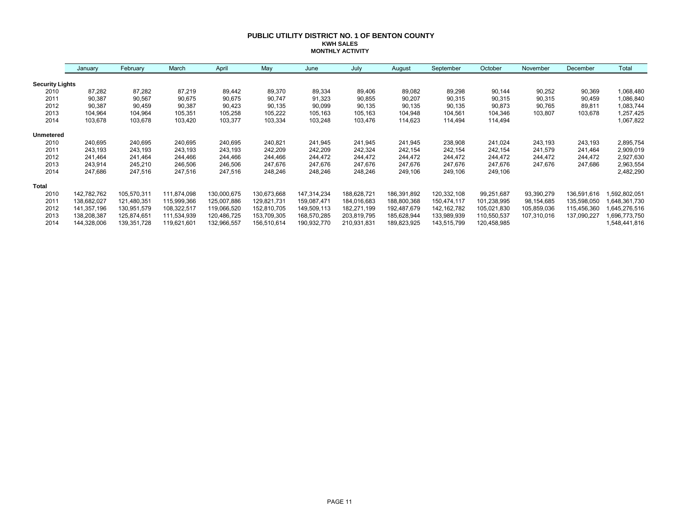#### **PUBLIC UTILITY DISTRICT NO. 1 OF BENTON COUNTY KWH SALES MONTHLY ACTIVITY**

|                        | January     | February    | March       | April       | May         | June        | July        | August      | September     | October     | November    | December    | Total         |
|------------------------|-------------|-------------|-------------|-------------|-------------|-------------|-------------|-------------|---------------|-------------|-------------|-------------|---------------|
| <b>Security Lights</b> |             |             |             |             |             |             |             |             |               |             |             |             |               |
| 2010                   | 87,282      | 87,282      | 87,219      | 89,442      | 89,370      | 89,334      | 89,406      | 89,082      | 89,298        | 90,144      | 90,252      | 90,369      | 1,068,480     |
| 2011                   | 90,387      | 90,567      | 90,675      | 90,675      | 90,747      | 91,323      | 90,855      | 90,207      | 90,315        | 90,315      | 90,315      | 90,459      | 1,086,840     |
| 2012                   | 90,387      | 90,459      | 90,387      | 90,423      | 90,135      | 90,099      | 90,135      | 90,135      | 90,135        | 90,873      | 90,765      | 89,811      | 1,083,744     |
| 2013                   | 104,964     | 104,964     | 105,351     | 105,258     | 105,222     | 105,163     | 105,163     | 104,948     | 104,561       | 104,346     | 103,807     | 103,678     | 1,257,425     |
| 2014                   | 103,678     | 103,678     | 103,420     | 103,377     | 103,334     | 103,248     | 103,476     | 114,623     | 114,494       | 114,494     |             |             | 1,067,822     |
| <b>Unmetered</b>       |             |             |             |             |             |             |             |             |               |             |             |             |               |
| 2010                   | 240,695     | 240,695     | 240,695     | 240,695     | 240,821     | 241,945     | 241,945     | 241,945     | 238,908       | 241,024     | 243,193     | 243,193     | 2,895,754     |
| 2011                   | 243,193     | 243,193     | 243,193     | 243,193     | 242,209     | 242,209     | 242,324     | 242,154     | 242,154       | 242,154     | 241,579     | 241,464     | 2,909,019     |
| 2012                   | 241,464     | 241,464     | 244,466     | 244,466     | 244,466     | 244,472     | 244,472     | 244,472     | 244,472       | 244,472     | 244,472     | 244,472     | 2,927,630     |
| 2013                   | 243,914     | 245,210     | 246,506     | 246,506     | 247,676     | 247,676     | 247,676     | 247,676     | 247,676       | 247,676     | 247,676     | 247,686     | 2,963,554     |
| 2014                   | 247,686     | 247,516     | 247,516     | 247,516     | 248,246     | 248,246     | 248,246     | 249,106     | 249,106       | 249,106     |             |             | 2,482,290     |
| Total                  |             |             |             |             |             |             |             |             |               |             |             |             |               |
| 2010                   | 142,782,762 | 105,570,311 | 111,874,098 | 130,000,675 | 130,673,668 | 147,314,234 | 188,628,721 | 186,391,892 | 120,332,108   | 99,251,687  | 93,390,279  | 136,591,616 | ,592,802,051  |
| 2011                   | 138,682,027 | 121,480,351 | 115,999,366 | 125,007,886 | 129,821,731 | 159,087,471 | 184,016,683 | 188,800,368 | 150,474,117   | 101,238,995 | 98,154,685  | 135,598,050 | 648,361,730   |
| 2012                   | 141,357,196 | 130,951,579 | 108,322,517 | 119,066,520 | 152,810,705 | 149,509,113 | 182,271,199 | 192,487,679 | 142, 162, 782 | 105,021,830 | 105,859,036 | 115,456,360 | 645,276,516   |
| 2013                   | 138,208,387 | 125,874,651 | 111,534,939 | 120,486,725 | 153,709,305 | 168,570,285 | 203,819,795 | 185,628,944 | 133,989,939   | 110,550,537 | 107,310,016 | 137,090,227 | 696,773,750   |
| 2014                   | 144,328,006 | 139,351,728 | 119,621,601 | 132,966,557 | 156,510,614 | 190,932,770 | 210,931,831 | 189,823,925 | 143,515,799   | 120,458,985 |             |             | 1,548,441,816 |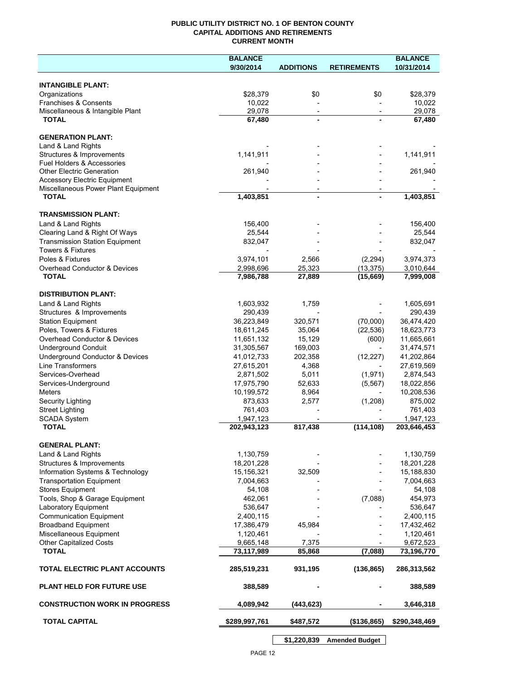### **PUBLIC UTILITY DISTRICT NO. 1 OF BENTON COUNTY CAPITAL ADDITIONS AND RETIREMENTS CURRENT MONTH**

|                                       | <b>BALANCE</b> |                          |                          | <b>BALANCE</b> |
|---------------------------------------|----------------|--------------------------|--------------------------|----------------|
|                                       | 9/30/2014      | <b>ADDITIONS</b>         | <b>RETIREMENTS</b>       | 10/31/2014     |
| <b>INTANGIBLE PLANT:</b>              |                |                          |                          |                |
| Organizations                         | \$28,379       | \$0                      | \$0                      | \$28,379       |
| Franchises & Consents                 | 10,022         |                          |                          | 10,022         |
| Miscellaneous & Intangible Plant      | 29,078         | $\overline{\phantom{a}}$ | $\overline{\phantom{a}}$ | 29,078         |
| <b>TOTAL</b>                          | 67,480         | $\blacksquare$           |                          | 67,480         |
| <b>GENERATION PLANT:</b>              |                |                          |                          |                |
| Land & Land Rights                    |                |                          |                          |                |
| Structures & Improvements             | 1,141,911      |                          |                          | 1,141,911      |
| Fuel Holders & Accessories            |                |                          |                          |                |
| <b>Other Electric Generation</b>      | 261,940        |                          |                          | 261,940        |
| <b>Accessory Electric Equipment</b>   |                |                          |                          |                |
| Miscellaneous Power Plant Equipment   |                |                          |                          |                |
| <b>TOTAL</b>                          | 1,403,851      | $\blacksquare$           |                          | 1,403,851      |
| <b>TRANSMISSION PLANT:</b>            |                |                          |                          |                |
| Land & Land Rights                    | 156,400        |                          |                          | 156,400        |
| Clearing Land & Right Of Ways         | 25,544         |                          |                          | 25,544         |
| <b>Transmission Station Equipment</b> | 832,047        |                          |                          | 832,047        |
| <b>Towers &amp; Fixtures</b>          |                |                          |                          |                |
| Poles & Fixtures                      | 3,974,101      | 2,566                    | (2, 294)                 | 3,974,373      |
| Overhead Conductor & Devices          | 2,998,696      | 25,323                   | (13, 375)                | 3,010,644      |
| <b>TOTAL</b>                          | 7,986,788      | 27,889                   | (15,669)                 | 7,999,008      |
| <b>DISTRIBUTION PLANT:</b>            |                |                          |                          |                |
| Land & Land Rights                    | 1,603,932      | 1,759                    |                          | 1,605,691      |
| Structures & Improvements             | 290,439        |                          |                          | 290,439        |
| <b>Station Equipment</b>              | 36,223,849     | 320,571                  | (70,000)                 | 36,474,420     |
| Poles, Towers & Fixtures              | 18,611,245     | 35,064                   | (22, 536)                | 18,623,773     |
| Overhead Conductor & Devices          | 11,651,132     | 15,129                   | (600)                    | 11,665,661     |
| <b>Underground Conduit</b>            | 31,305,567     | 169,003                  |                          | 31,474,571     |
| Underground Conductor & Devices       | 41,012,733     | 202,358                  | (12, 227)                | 41,202,864     |
| Line Transformers                     | 27,615,201     | 4,368                    |                          | 27,619,569     |
| Services-Overhead                     | 2,871,502      | 5,011                    | (1,971)                  | 2,874,543      |
| Services-Underground                  | 17,975,790     | 52,633                   | (5, 567)                 | 18,022,856     |
| <b>Meters</b>                         | 10,199,572     | 8,964                    |                          | 10,208,536     |
| Security Lighting                     | 873,633        | 2,577                    | (1,208)                  | 875,002        |
| <b>Street Lighting</b>                | 761,403        |                          |                          | 761,403        |
| <b>SCADA System</b>                   | 1,947,123      |                          |                          | 1,947,123      |
| <b>TOTAL</b>                          | 202,943,123    | 817,438                  | (114, 108)               | 203,646,453    |
| <b>GENERAL PLANT:</b>                 |                |                          |                          |                |
| Land & Land Rights                    | 1,130,759      |                          |                          | 1,130,759      |
| Structures & Improvements             | 18,201,228     |                          |                          | 18,201,228     |
| Information Systems & Technology      | 15,156,321     | 32,509                   |                          | 15,188,830     |
| <b>Transportation Equipment</b>       | 7,004,663      |                          |                          | 7,004,663      |
| <b>Stores Equipment</b>               | 54,108         |                          |                          | 54,108         |
| Tools, Shop & Garage Equipment        | 462,061        |                          | (7,088)                  | 454,973        |
| Laboratory Equipment                  | 536,647        |                          |                          | 536,647        |
| <b>Communication Equipment</b>        | 2,400,115      |                          |                          | 2,400,115      |
| <b>Broadband Equipment</b>            | 17,386,479     | 45,984                   |                          | 17,432,462     |
| Miscellaneous Equipment               | 1,120,461      |                          |                          | 1,120,461      |
| <b>Other Capitalized Costs</b>        | 9,665,148      | 7,375                    |                          | 9,672,523      |
| <b>TOTAL</b>                          | 73,117,989     | 85,868                   | (7,088)                  | 73,196,770     |
| TOTAL ELECTRIC PLANT ACCOUNTS         | 285,519,231    | 931,195                  | (136, 865)               | 286,313,562    |
| <b>PLANT HELD FOR FUTURE USE</b>      | 388,589        |                          |                          | 388,589        |
| <b>CONSTRUCTION WORK IN PROGRESS</b>  | 4,089,942      | (443,623)                |                          | 3,646,318      |
| <b>TOTAL CAPITAL</b>                  | \$289,997,761  | \$487,572                | (\$136,865)              | \$290,348,469  |

**\$1,220,839 Amended Budget**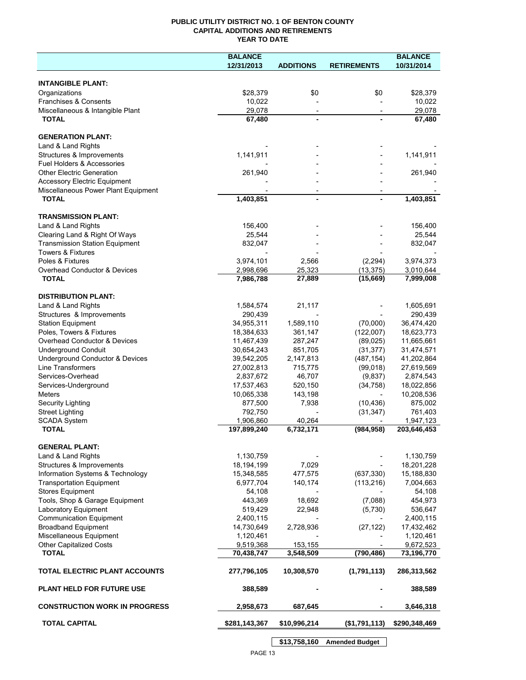## **PUBLIC UTILITY DISTRICT NO. 1 OF BENTON COUNTY CAPITAL ADDITIONS AND RETIREMENTS YEAR TO DATE**

|                                                              | <b>BALANCE</b>           |                          |                          | <b>BALANCE</b>           |
|--------------------------------------------------------------|--------------------------|--------------------------|--------------------------|--------------------------|
|                                                              | 12/31/2013               | <b>ADDITIONS</b>         | <b>RETIREMENTS</b>       | 10/31/2014               |
|                                                              |                          |                          |                          |                          |
| <b>INTANGIBLE PLANT:</b>                                     |                          |                          |                          |                          |
| Organizations                                                | \$28,379                 | \$0                      | \$0                      | \$28,379                 |
| Franchises & Consents                                        | 10,022                   |                          |                          | 10,022                   |
| Miscellaneous & Intangible Plant                             | 29,078                   | $\overline{\phantom{a}}$ | $\overline{\phantom{a}}$ | 29,078                   |
| <b>TOTAL</b>                                                 | 67,480                   |                          |                          | 67,480                   |
|                                                              |                          |                          |                          |                          |
| <b>GENERATION PLANT:</b>                                     |                          |                          |                          |                          |
| Land & Land Rights                                           |                          |                          |                          |                          |
| Structures & Improvements<br>Fuel Holders & Accessories      | 1,141,911                |                          |                          | 1,141,911                |
|                                                              |                          |                          |                          |                          |
| <b>Other Electric Generation</b>                             | 261,940                  |                          |                          | 261,940                  |
| <b>Accessory Electric Equipment</b>                          |                          |                          |                          |                          |
| Miscellaneous Power Plant Equipment<br><b>TOTAL</b>          | 1,403,851                |                          |                          | 1,403,851                |
|                                                              |                          |                          |                          |                          |
| <b>TRANSMISSION PLANT:</b>                                   |                          |                          |                          |                          |
| Land & Land Rights                                           | 156,400                  |                          |                          | 156,400                  |
| Clearing Land & Right Of Ways                                | 25,544                   |                          |                          | 25,544                   |
| <b>Transmission Station Equipment</b>                        | 832,047                  |                          |                          | 832,047                  |
| Towers & Fixtures                                            |                          |                          |                          |                          |
| Poles & Fixtures                                             | 3,974,101                | 2,566                    | (2, 294)                 | 3,974,373                |
| Overhead Conductor & Devices                                 | 2,998,696                | 25,323                   | (13, 375)                | 3,010,644                |
| <b>TOTAL</b>                                                 | 7,986,788                | 27,889                   | (15,669)                 | 7,999,008                |
|                                                              |                          |                          |                          |                          |
| <b>DISTRIBUTION PLANT:</b>                                   |                          |                          |                          |                          |
| Land & Land Rights                                           | 1,584,574                | 21,117                   |                          | 1,605,691                |
| Structures & Improvements                                    | 290,439                  |                          |                          | 290,439                  |
| <b>Station Equipment</b>                                     | 34,955,311               | 1,589,110                | (70,000)                 | 36,474,420               |
| Poles, Towers & Fixtures                                     | 18,384,633               | 361,147                  | (122,007)                | 18,623,773               |
| Overhead Conductor & Devices                                 | 11,467,439               | 287,247                  | (89, 025)                | 11,665,661               |
| <b>Underground Conduit</b>                                   | 30,654,243               | 851,705                  | (31, 377)                | 31,474,571               |
| Underground Conductor & Devices                              | 39,542,205               | 2,147,813                | (487, 154)               | 41,202,864               |
| Line Transformers                                            | 27,002,813               | 715,775                  | (99,018)                 | 27,619,569               |
| Services-Overhead                                            | 2,837,672                | 46,707                   | (9,837)                  | 2,874,543                |
| Services-Underground                                         | 17,537,463               | 520,150                  | (34, 758)                | 18,022,856               |
| <b>Meters</b>                                                | 10,065,338               | 143,198                  |                          | 10,208,536               |
| Security Lighting                                            | 877,500                  | 7,938                    | (10, 436)                | 875,002                  |
| <b>Street Lighting</b>                                       | 792,750                  |                          | (31, 347)                | 761,403                  |
| <b>SCADA System</b>                                          | 1,906,860                | 40,264                   |                          | 1,947,123                |
| <b>TOTAL</b>                                                 | 197,899,240              | 6,732,171                | (984, 958)               | 203,646,453              |
|                                                              |                          |                          |                          |                          |
| <b>GENERAL PLANT:</b><br>Land & Land Rights                  | 1,130,759                |                          |                          | 1,130,759                |
|                                                              |                          |                          |                          |                          |
| Structures & Improvements                                    | 18,194,199<br>15,348,585 | 7,029<br>477,575         |                          | 18,201,228<br>15,188,830 |
| Information Systems & Technology                             |                          |                          | (637, 330)               |                          |
| <b>Transportation Equipment</b>                              | 6,977,704<br>54,108      | 140,174                  | (113, 216)               | 7,004,663                |
| <b>Stores Equipment</b>                                      |                          |                          |                          | 54,108                   |
| Tools, Shop & Garage Equipment<br>Laboratory Equipment       | 443,369<br>519,429       | 18,692<br>22,948         | (7,088)                  | 454,973<br>536,647       |
|                                                              | 2,400,115                |                          | (5,730)                  | 2,400,115                |
| <b>Communication Equipment</b><br><b>Broadband Equipment</b> | 14,730,649               | 2,728,936                | (27, 122)                |                          |
|                                                              |                          |                          |                          | 17,432,462               |
| Miscellaneous Equipment                                      | 1,120,461                |                          |                          | 1,120,461                |
| <b>Other Capitalized Costs</b><br><b>TOTAL</b>               | 9,519,368<br>70,438,747  | 153,155<br>3,548,509     | (790, 486)               | 9,672,523<br>73,196,770  |
|                                                              |                          |                          |                          |                          |
| TOTAL ELECTRIC PLANT ACCOUNTS                                | 277,796,105              | 10,308,570               | (1,791,113)              | 286,313,562              |
|                                                              |                          |                          |                          |                          |
| <b>PLANT HELD FOR FUTURE USE</b>                             | 388,589                  |                          |                          | 388,589                  |
| <b>CONSTRUCTION WORK IN PROGRESS</b>                         | 2,958,673                | 687,645                  |                          | 3,646,318                |
| <b>TOTAL CAPITAL</b>                                         | \$281,143,367            | \$10,996,214             | $($ \$1,791,113)         | \$290,348,469            |
|                                                              |                          |                          |                          |                          |

PAGE 13

**\$13,758,160 Amended Budget**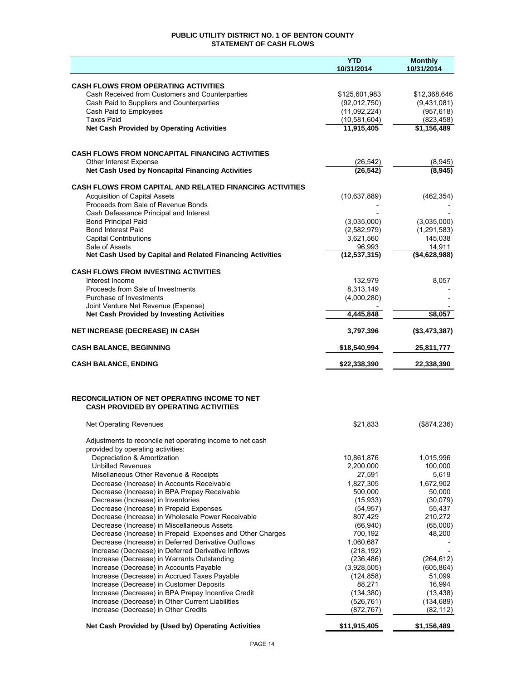## **PUBLIC UTILITY DISTRICT NO. 1 OF BENTON COUNTY STATEMENT OF CASH FLOWS**

|                                                                                                          | <b>YTD</b><br>10/31/2014      | <b>Monthly</b><br>10/31/2014 |
|----------------------------------------------------------------------------------------------------------|-------------------------------|------------------------------|
|                                                                                                          |                               |                              |
| <b>CASH FLOWS FROM OPERATING ACTIVITIES</b>                                                              |                               |                              |
| Cash Received from Customers and Counterparties<br>Cash Paid to Suppliers and Counterparties             | \$125,601,983<br>(92,012,750) | \$12,368,646<br>(9,431,081)  |
| Cash Paid to Employees                                                                                   | (11,092,224)                  | (957, 618)                   |
| <b>Taxes Paid</b>                                                                                        | (10, 581, 604)                | (823, 458)                   |
| <b>Net Cash Provided by Operating Activities</b>                                                         | 11,915,405                    | \$1,156,489                  |
|                                                                                                          |                               |                              |
| <b>CASH FLOWS FROM NONCAPITAL FINANCING ACTIVITIES</b>                                                   |                               |                              |
| Other Interest Expense                                                                                   | (26, 542)                     | (8,945)                      |
| Net Cash Used by Noncapital Financing Activities                                                         | (26, 542)                     | (8, 945)                     |
| <b>CASH FLOWS FROM CAPITAL AND RELATED FINANCING ACTIVITIES</b>                                          |                               |                              |
| <b>Acquisition of Capital Assets</b>                                                                     | (10,637,889)                  | (462, 354)                   |
| Proceeds from Sale of Revenue Bonds                                                                      |                               |                              |
| Cash Defeasance Principal and Interest                                                                   |                               |                              |
| <b>Bond Principal Paid</b>                                                                               | (3,035,000)                   | (3,035,000)                  |
| <b>Bond Interest Paid</b><br><b>Capital Contributions</b>                                                | (2,582,979)<br>3,621,560      | (1, 291, 583)<br>145,038     |
| Sale of Assets                                                                                           | 96,993                        | 14,911                       |
| Net Cash Used by Capital and Related Financing Activities                                                | (12, 537, 315)                | (\$4,628,988)                |
| <b>CASH FLOWS FROM INVESTING ACTIVITIES</b>                                                              |                               |                              |
| Interest Income                                                                                          | 132,979                       | 8,057                        |
| Proceeds from Sale of Investments                                                                        | 8,313,149                     |                              |
| Purchase of Investments                                                                                  | (4,000,280)                   |                              |
| Joint Venture Net Revenue (Expense)                                                                      |                               |                              |
| <b>Net Cash Provided by Investing Activities</b>                                                         | 4,445,848                     | \$8,057                      |
| NET INCREASE (DECREASE) IN CASH                                                                          | 3,797,396                     | (\$3,473,387)                |
| <b>CASH BALANCE, BEGINNING</b>                                                                           | \$18,540,994                  | 25,811,777                   |
| <b>CASH BALANCE, ENDING</b>                                                                              | \$22,338,390                  | 22,338,390                   |
|                                                                                                          |                               |                              |
| <b>RECONCILIATION OF NET OPERATING INCOME TO NET</b>                                                     |                               |                              |
| <b>CASH PROVIDED BY OPERATING ACTIVITIES</b>                                                             |                               |                              |
| Net Operating Revenues                                                                                   | \$21,833                      | (\$874,236)                  |
|                                                                                                          |                               |                              |
| Adjustments to reconcile net operating income to net cash<br>provided by operating activities:           |                               |                              |
| Depreciation & Amortization                                                                              | 10,861,876                    | 1,015,996                    |
| <b>Unbilled Revenues</b>                                                                                 | 2,200,000                     | 100,000                      |
| Misellaneous Other Revenue & Receipts                                                                    | 27,591                        | 5,619                        |
| Decrease (Increase) in Accounts Receivable                                                               | 1,827,305                     | 1,672,902                    |
| Decrease (Increase) in BPA Prepay Receivable                                                             | 500,000                       | 50,000                       |
| Decrease (Increase) in Inventories                                                                       | (15,933)                      | (30,079)                     |
| Decrease (Increase) in Prepaid Expenses                                                                  | (54, 957)                     | 55,437                       |
| Decrease (Increase) in Wholesale Power Receivable                                                        | 807,429                       | 210,272                      |
| Decrease (Increase) in Miscellaneous Assets<br>Decrease (Increase) in Prepaid Expenses and Other Charges | (66, 940)<br>700,192          | (65,000)<br>48,200           |
| Decrease (Increase) in Deferred Derivative Outflows                                                      | 1,060,687                     |                              |
| Increase (Decrease) in Deferred Derivative Inflows                                                       | (218, 192)                    |                              |
| Increase (Decrease) in Warrants Outstanding                                                              | (236, 486)                    | (264, 612)                   |
| Increase (Decrease) in Accounts Payable                                                                  | (3,928,505)                   | (605, 864)                   |
| Increase (Decrease) in Accrued Taxes Payable                                                             | (124, 858)                    | 51,099                       |
| Increase (Decrease) in Customer Deposits                                                                 | 88,271                        | 16,994                       |
| Increase (Decrease) in BPA Prepay Incentive Credit                                                       | (134, 380)                    | (13, 438)                    |
| Increase (Decrease) in Other Current Liabilities                                                         | (526, 761)                    | (134, 689)                   |
| Increase (Decrease) in Other Credits                                                                     | (872, 767)                    | (82, 112)                    |
| Net Cash Provided by (Used by) Operating Activities                                                      | \$11,915,405                  | \$1,156,489                  |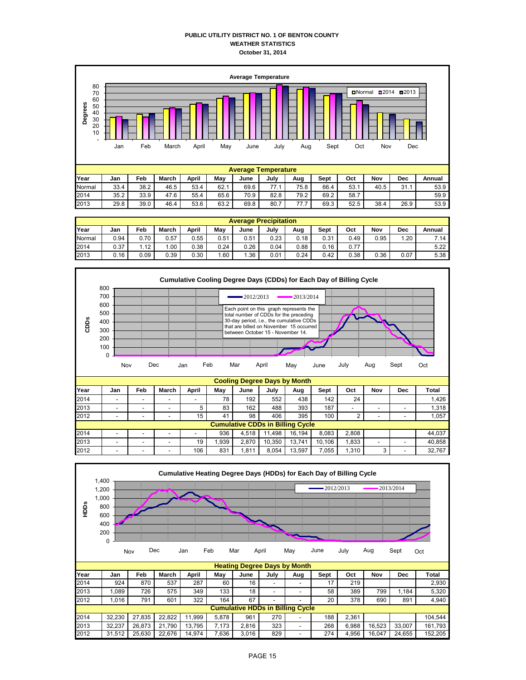#### **PUBLIC UTILITY DISTRICT NO. 1 OF BENTON COUNTY WEATHER STATISTICS October 31, 2014**



|        | <b>Average Precipitation</b> |            |       |       |      |      |      |      |      |      |      |      |        |  |
|--------|------------------------------|------------|-------|-------|------|------|------|------|------|------|------|------|--------|--|
| Year   | Jan                          | <b>Feb</b> | March | April | May  | June | July | Aug  | Sept | Oct  | Nov  | Dec  | Annual |  |
| Normal | 0.94                         | 0.70       | 0.57  | 0.55  | 0.51 | 0.51 | 0.23 | 0.18 | 0.31 | 0.49 | 0.95 | 1.20 | 7.14   |  |
| 2014   | 0.37                         | 1.12       | .00   | 0.38  | 0.24 | 0.26 | 0.04 | 0.88 | 0.16 | 0.77 |      |      | 5.22   |  |
| 2013   | 0.16                         | 0.09       | 0.39  | 0.30  | . 60 | .36  | 0.01 | 0.24 | 0.42 | 0.38 | 0.36 | 0.07 | 5.38   |  |



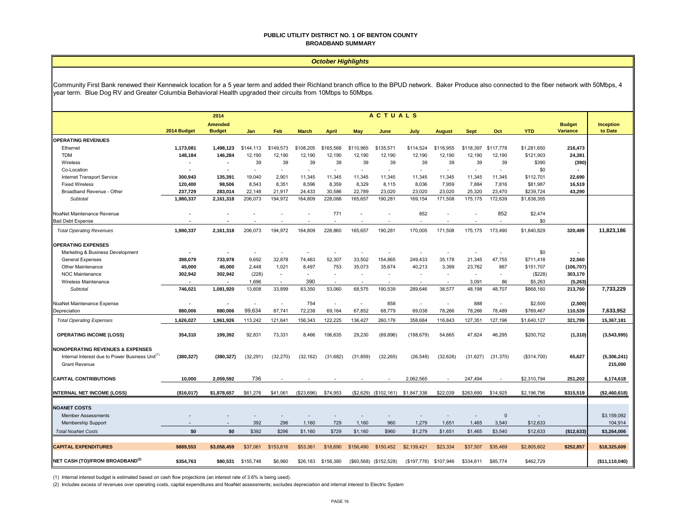#### **PUBLIC UTILITY DISTRICT NO. 1 OF BENTON COUNTY BROADBAND SUMMARY**

#### *October Highlights*

Community First Bank renewed their Kennewick location for a 5 year term and added their Richland branch office to the BPUD network. Baker Produce also connected to the fiber network with 50Mbps, 4 year term. Blue Dog RV and Greater Columbia Behavioral Health upgraded their circuits from 10Mbps to 50Mbps.

|                                                                                                                                    | <b>ACTUALS</b><br>2014   |                                 |                          |           |              |              |                          |                          |                                   |               |                          |              |             |                                  |                             |
|------------------------------------------------------------------------------------------------------------------------------------|--------------------------|---------------------------------|--------------------------|-----------|--------------|--------------|--------------------------|--------------------------|-----------------------------------|---------------|--------------------------|--------------|-------------|----------------------------------|-----------------------------|
|                                                                                                                                    | 2014 Budget              | <b>Amended</b><br><b>Budget</b> | Jan                      | Feb       | <b>March</b> | <b>April</b> | <b>May</b>               | June                     | July                              | <b>August</b> | <b>Sept</b>              | Oct          | <b>YTD</b>  | <b>Budget</b><br><b>Variance</b> | <b>Inception</b><br>to Date |
| <b>OPERATING REVENUES</b>                                                                                                          |                          |                                 |                          |           |              |              |                          |                          |                                   |               |                          |              |             |                                  |                             |
| Ethernet                                                                                                                           | 1,173,081                | 1,498,123                       | \$144,113                | \$149,573 | \$108,205    | \$165,568    | \$110,965                | \$135,571                | \$114,524                         | \$116,955     | \$118,397                | \$117,778    | \$1,281,650 | 216,473                          |                             |
| <b>TDM</b>                                                                                                                         | 148,184                  | 146,284                         | 12,190                   | 12.190    | 12,190       | 12,190       | 12,190                   | 12,190                   | 12,190                            | 12,190        | 12,190                   | 12,190       | \$121,903   | 24,381                           |                             |
| Wireless                                                                                                                           |                          |                                 | 39                       | 39        | 39           | 39           | 39                       | 39                       | 39                                | 39            | 39                       | 39           | \$390       | (390)                            |                             |
| Co-Location                                                                                                                        |                          |                                 | $\sim$                   | $\sim$    | ٠            |              | $\sim$                   | $\sim$                   |                                   | $\sim$        | $\overline{\phantom{a}}$ | $\sim$       | \$0         |                                  |                             |
| Internet Transport Service                                                                                                         | 300.943                  | 135.391                         | 19.040                   | 2.901     | 11.345       | 11,345       | 11.345                   | 11,345                   | 11,345                            | 11.345        | 11,345                   | 11.345       | \$112,701   | 22,690                           |                             |
| <b>Fixed Wireless</b>                                                                                                              | 120,400                  | 98,506                          | 8,543                    | 8,351     | 8,596        | 8,359        | 8,329                    | 8,115                    | 8,036                             | 7,959         | 7,884                    | 7,816        | \$81,987    | 16,519                           |                             |
| Broadband Revenue - Other                                                                                                          | 237,729                  | 283,014                         | 22,148                   | 21,917    | 24.433       | 30,586       | 22,789                   | 23,020                   | 23,020                            | 23,020        | 25,320                   | 23,470       | \$239,724   | 43,290                           |                             |
| Subtotal                                                                                                                           | 1,980,337                | 2,161,318                       | 206,073                  | 194,972   | 164,809      | 228,088      | 165,657                  | 190,281                  | 169,154                           | 171,508       | 175,175                  | 172,639      | \$1,838,355 |                                  |                             |
| NoaNet Maintenance Revenue                                                                                                         |                          |                                 |                          |           |              | 771          |                          |                          | 852                               |               |                          | 852          | \$2,474     |                                  |                             |
| <b>Bad Debt Expense</b>                                                                                                            |                          |                                 |                          |           |              |              | $\overline{\phantom{a}}$ |                          |                                   |               |                          |              | \$0         |                                  |                             |
| <b>Total Operating Revenues</b>                                                                                                    | 1,980,337                | 2,161,318                       | 206.073                  | 194,972   | 164.809      | 228,860      | 165.657                  | 190,281                  | 170.005                           | 171.508       | 175.175                  | 173.490      | \$1,840,829 | 320,489                          | 11,823,186                  |
| <b>OPERATING EXPENSES</b>                                                                                                          |                          |                                 |                          |           |              |              |                          |                          |                                   |               |                          |              |             |                                  |                             |
| Marketing & Business Development                                                                                                   |                          |                                 | $\overline{\phantom{a}}$ |           |              |              |                          |                          |                                   |               |                          |              | \$0         |                                  |                             |
| <b>General Expenses</b>                                                                                                            | 398,079                  | 733,978                         | 9,692                    | 32,878    | 74,463       | 52,307       | 33,502                   | 154,865                  | 249,433                           | 35,178        | 21,345                   | 47,755       | \$711,418   | 22,560                           |                             |
| Other Maintenance                                                                                                                  | 45,000                   | 45,000                          | 2,448                    | 1,021     | 8,497        | 753          | 35,073                   | 35,674                   | 40,213                            | 3,399         | 23,762                   | 867          | \$151,707   | (106, 707)                       |                             |
| <b>NOC Maintenance</b>                                                                                                             | 302,942                  | 302,942                         | (228)                    | $\sim$    | $\sim$       | $\sim$       |                          | $\overline{\phantom{a}}$ |                                   | $\sim$        | $\overline{\phantom{a}}$ | $\sim$       | (\$228)     | 303,170                          |                             |
| Wireless Maintenance                                                                                                               | $\overline{\phantom{a}}$ |                                 | 1,696                    | $\sim$    | 390          | $\sim$       | $\overline{\phantom{a}}$ | ÷.                       |                                   | $\sim$        | 3,091                    | 86           | \$5,263     | (5, 263)                         |                             |
| Subtotal                                                                                                                           | 746.021                  | 1,081,920                       | 13,608                   | 33,899    | 83.350       | 53,060       | 68.575                   | 190.539                  | 289.646                           | 38,577        | 48,198                   | 48.707       | \$868,160   | 213,760                          | 7,733,229                   |
| NoaNet Maintenance Expense                                                                                                         |                          |                                 |                          |           | 754          |              |                          | 858                      |                                   |               | 888                      |              | \$2,500     | (2,500)                          |                             |
| Depreciation                                                                                                                       | 880,006                  | 880.006                         | 99.634                   | 87.741    | 72.238       | 69.164       | 67.852                   | 68,779                   | 69.038                            | 78.266        | 78,266                   | 78,489       | \$769,467   | 110,539                          | 7.633.952                   |
| <b>Total Operating Expenses</b>                                                                                                    | 1,626,027                | 1,961,926                       | 113,242                  | 121,641   | 156,343      | 122,225      | 136,427                  | 260,176                  | 358,684                           | 116,843       | 127,351                  | 127,196      | \$1,640,127 | 321,799                          | 15,367,181                  |
| <b>OPERATING INCOME (LOSS)</b>                                                                                                     | 354,310                  | 199,392                         | 92,831                   | 73,331    | 8,466        | 106,635      | 29,230                   | (69, 896)                | (188, 679)                        | 54,665        | 47,824                   | 46,295       | \$200,702   | (1, 310)                         | (3,543,995)                 |
| <b>NONOPERATING REVENUES &amp; EXPENSES</b><br>Internal Interest due to Power Business Unit <sup>(1)</sup><br><b>Grant Revenue</b> | (380, 327)               | (380, 327)                      | (32, 291)                | (32, 270) | (32, 162)    | (31,682)     | (31, 859)                | (32, 265)                | (26, 548)                         | (32, 626)     | (31, 627)                | (31, 370)    | (\$314,700) | 65,627                           | (5,306,241)<br>215,000      |
| <b>CAPITAL CONTRIBUTIONS</b>                                                                                                       | 10,000                   | 2,059,592                       | 736                      |           |              |              |                          |                          | 2,062,565                         |               | 247,494                  |              | \$2,310,794 | 251,202                          | 6,174,618                   |
| <b>INTERNAL NET INCOME (LOSS)</b>                                                                                                  | (\$16,017)               | \$1,878,657                     | \$61,276                 | \$41,061  | (\$23,696)   | \$74,953     |                          |                          | (\$2,629) (\$102,161) \$1,847,338 | \$22,039      | \$263,690                | \$14,925     | \$2,196,796 | \$315,519                        | (\$2,460,618)               |
|                                                                                                                                    |                          |                                 |                          |           |              |              |                          |                          |                                   |               |                          |              |             |                                  |                             |
| <b>NOANET COSTS</b>                                                                                                                |                          |                                 |                          |           |              |              |                          |                          |                                   |               |                          |              |             |                                  |                             |
| <b>Member Assessments</b>                                                                                                          |                          |                                 |                          |           |              |              |                          |                          |                                   |               |                          | $\mathbf{0}$ |             |                                  | \$3,159,092                 |
| Membership Support                                                                                                                 |                          |                                 | 392                      | 296       | 1.160        | 729          | 1,160                    | 960                      | 1,279                             | 1,651         | 1,465                    | 3,540        | \$12,633    |                                  | 104,914                     |
| <b>Total NoaNet Costs</b>                                                                                                          | \$0                      | \$0                             | \$392                    | \$296     | \$1,160      | \$729        | \$1,160                  | \$960                    | \$1,279                           | \$1,651       | \$1,465                  | \$3,540      | \$12,633    | (\$12,633)                       | \$3,264,006                 |
|                                                                                                                                    |                          |                                 |                          |           |              |              |                          |                          |                                   |               |                          |              |             |                                  |                             |
| <b>CAPITAL EXPENDITURES</b>                                                                                                        | \$889,553                | \$3,058,459                     | \$37,061                 | \$153,816 | \$53,361     | \$18,690     | \$156,490                | \$150,452                | \$2,139,421                       | \$23,334      | \$37,507                 | \$35,469     | \$2,805,602 | \$252,857                        | \$18,325,609                |
| <b>INET CASH (TO)/FROM BROADBAND(2)</b>                                                                                            | \$354,763                | \$80,531                        | \$155,748                | \$6,960   | \$26,183     | \$156,380    |                          | (\$60,568) (\$152,528)   | (\$197,776)                       | \$107,946     | \$334,611                | \$85,774     | \$462,729   |                                  | (\$11,110,040)              |

(1) Internal interest budget is estimated based on cash flow projections (an interest rate of 3.6% is being used).

(2) Includes excess of revenues over operating costs, capital expenditures and NoaNet assessments; excludes depreciation and internal interest to Electric System